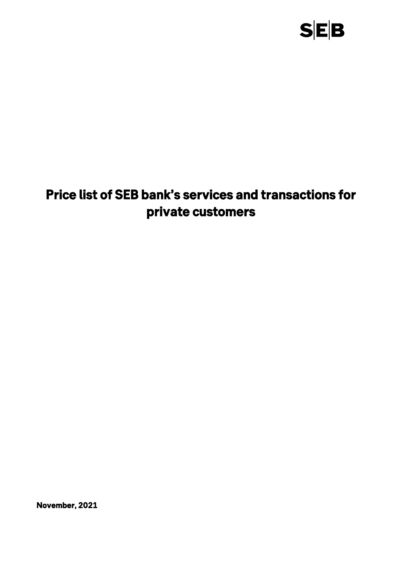

# *Price list of SEB bank's services and transactions for private customers*

*November, 2021*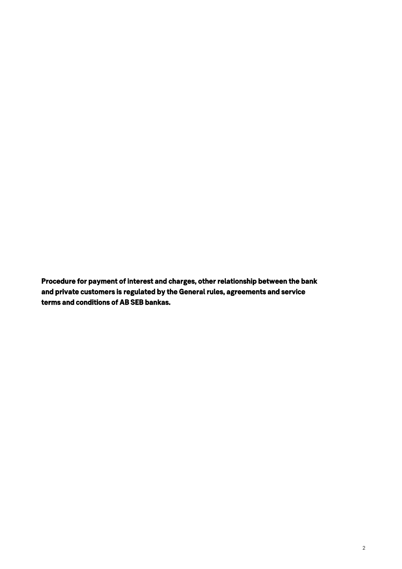*Procedure for payment of interest and charges, other relationship between the bank and private customers is regulated by the General rules, agreements and service terms and conditions of AB SEB bankas.*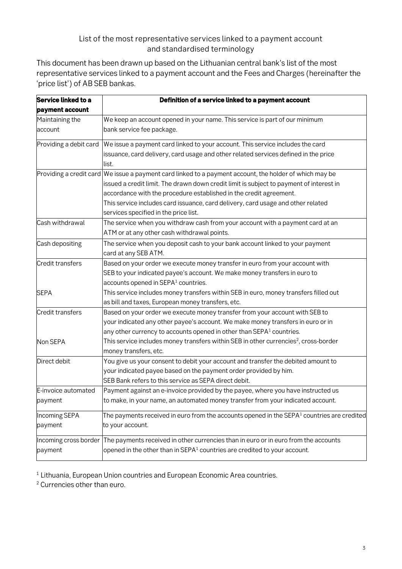### **List of the most representative services linked to a payment account and standardised terminology**

**This document has been drawn up based on the Lithuanian central bank's list of the most representative services linked to a payment account and the Fees and Charges (hereinafter the 'price list') of AB SEB bankas.**

| Service linked to a     | Definition of a service linked to a payment account                                                       |
|-------------------------|-----------------------------------------------------------------------------------------------------------|
| payment account         |                                                                                                           |
| Maintaining the         | We keep an account opened in your name. This service is part of our minimum                               |
| account                 | bank service fee package.                                                                                 |
| Providing a debit card  | We issue a payment card linked to your account. This service includes the card                            |
|                         | issuance, card delivery, card usage and other related services defined in the price<br>list.              |
| Providing a credit card | We issue a payment card linked to a payment account, the holder of which may be                           |
|                         | issued a credit limit. The drawn down credit limit is subject to payment of interest in                   |
|                         | accordance with the procedure established in the credit agreement.                                        |
|                         | This service includes card issuance, card delivery, card usage and other related                          |
|                         | services specified in the price list.                                                                     |
| Cash withdrawal         | The service when you withdraw cash from your account with a payment card at an                            |
|                         | ATM or at any other cash withdrawal points.                                                               |
| Cash depositing         | The service when you deposit cash to your bank account linked to your payment                             |
|                         | card at any SEB ATM.                                                                                      |
| <b>Credit transfers</b> | Based on your order we execute money transfer in euro from your account with                              |
|                         | SEB to your indicated payee's account. We make money transfers in euro to                                 |
|                         | accounts opened in SEPA <sup>1</sup> countries.                                                           |
| <b>SEPA</b>             | This service includes money transfers within SEB in euro, money transfers filled out                      |
|                         | as bill and taxes, European money transfers, etc.                                                         |
| Credit transfers        | Based on your order we execute money transfer from your account with SEB to                               |
|                         | your indicated any other payee's account. We make money transfers in euro or in                           |
|                         | any other currency to accounts opened in other than SEPA <sup>1</sup> countries.                          |
| Non SEPA                | This service includes money transfers within SEB in other currencies <sup>2</sup> , cross-border          |
|                         | money transfers, etc.                                                                                     |
| Direct debit            | You give us your consent to debit your account and transfer the debited amount to                         |
|                         | your indicated payee based on the payment order provided by him.                                          |
|                         | SEB Bank refers to this service as SEPA direct debit.                                                     |
| E-invoice automated     | Payment against an e-invoice provided by the payee, where you have instructed us                          |
| payment                 | to make, in your name, an automated money transfer from your indicated account.                           |
| Incoming SEPA           | The payments received in euro from the accounts opened in the SEPA $1$ countries are credited             |
| payment                 | to your account.                                                                                          |
|                         | Incoming cross border The payments received in other currencies than in euro or in euro from the accounts |
| payment                 | opened in the other than in SEPA <sup>1</sup> countries are credited to your account.                     |

**1 Lithuania, European Union countries and European Economic Area countries.**

**<sup>2</sup> Currencies other than euro.**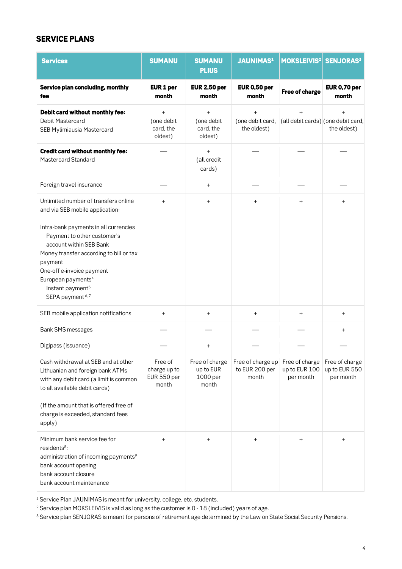### *SERVICE PLANS*

| <b>Services</b>                                                                                                                                                                                                                                                                     | <b>SUMANU</b>                                   | <b>SUMANU</b><br><b>PLIUS</b>                    | <b>JAUNIMAS1</b>                             | MOKSLEIVIS <sup>2</sup>                      | <b>SENJORAS3</b>                             |
|-------------------------------------------------------------------------------------------------------------------------------------------------------------------------------------------------------------------------------------------------------------------------------------|-------------------------------------------------|--------------------------------------------------|----------------------------------------------|----------------------------------------------|----------------------------------------------|
| Service plan concluding, monthly<br>fee                                                                                                                                                                                                                                             | EUR 1 per<br>month                              | <b>EUR 2,50 per</b><br>month                     | <b>EUR 0,50 per</b><br>month                 | <b>Free of charge</b>                        | <b>EUR 0,70 per</b><br>month                 |
| Debit card without monthly fee:<br><b>Debit Mastercard</b><br><b>SEB Mylimiausia Mastercard</b>                                                                                                                                                                                     | $+$<br>(one debit<br>card, the<br>oldest)       | $\ddot{}$<br>(one debit<br>card, the<br>oldest)  | $+$<br>(one debit card,<br>the oldest)       | $+$<br>(all debit cards) (one debit card,    | the oldest)                                  |
| <b>Credit card without monthly fee:</b><br><b>Mastercard Standard</b>                                                                                                                                                                                                               |                                                 | $\ddot{}$<br>(all credit<br>cards)               |                                              |                                              |                                              |
| Foreign travel insurance                                                                                                                                                                                                                                                            |                                                 | $\ddot{}$                                        |                                              |                                              |                                              |
| Unlimited number of transfers online<br>and via SEB mobile application:                                                                                                                                                                                                             | $+$                                             | $+$                                              | $\ddot{}$                                    | $\ddot{}$                                    | $^{+}$                                       |
| Intra-bank payments in all currencies<br>Payment to other customer's<br>account within SEB Bank<br>Money transfer according to bill or tax<br>payment<br>One-off e-invoice payment<br>European payments <sup>4</sup><br>Instant payment <sup>5</sup><br>SEPA payment <sup>6,7</sup> |                                                 |                                                  |                                              |                                              |                                              |
| SEB mobile application notifications                                                                                                                                                                                                                                                | $+$                                             | $^{+}$                                           | $\ddot{}$                                    | $^{+}$                                       | $^{+}$                                       |
| <b>Bank SMS messages</b>                                                                                                                                                                                                                                                            |                                                 |                                                  |                                              |                                              | $^+$                                         |
| Digipass (issuance)                                                                                                                                                                                                                                                                 |                                                 | $\ddot{}$                                        |                                              |                                              |                                              |
| Cash withdrawal at SEB and at other<br>Lithuanian and foreign bank ATMs<br>with any debit card (a limit is common<br>to all available debit cards)<br>(If the amount that is offered free of<br>charge is exceeded, standard fees<br>apply)                                         | Free of<br>charge up to<br>EUR 550 per<br>month | Free of charge<br>up to EUR<br>1000 per<br>month | Free of charge up<br>to EUR 200 per<br>month | Free of charge<br>up to EUR 100<br>per month | Free of charge<br>up to EUR 550<br>per month |
| Minimum bank service fee for<br>residents <sup>8</sup> :<br>administration of incoming payments <sup>9</sup><br>bank account opening<br>bank account closure<br>bank account maintenance                                                                                            | $\ddot{}$                                       | $^{+}$                                           | $^{+}$                                       | $^{+}$                                       | $^+$                                         |

**<sup>1</sup> Service Plan JAUNIMAS is meant for university, college, etc. students.** 

**<sup>2</sup> Service plan MOKSLEIVIS is valid as long as the customer is 0 - 18 (included) years of age.**

**<sup>3</sup> Service plan SENJORAS is meant for persons of retirement age determined by the Law on State Social Security Pensions.**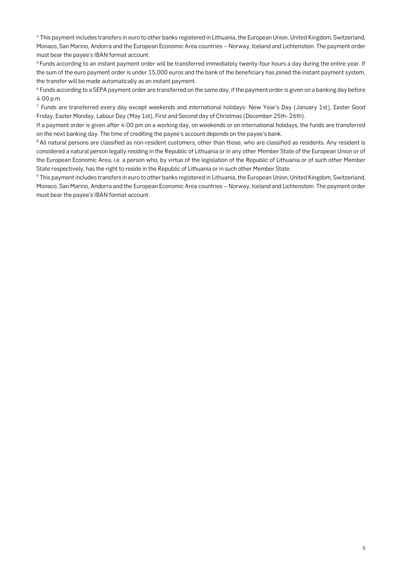**<sup>4</sup> This payment includes transfers in euro to other banks registered in Lithuania, the European Union, United Kingdom, Switzerland, Monaco, San Marino, Andorra and the European Economic Area countries – Norway, Iceland and Lichtenstein. The payment order must bear the payee's IBAN format account.**

**<sup>5</sup>Funds according to an instant payment order will be transferred immediately twenty-four hours a day during the entire year. If the sum of the euro payment order is under 15,000 euros and the bank of the beneficiary has joined the instant payment system, the transfer will be made automatically as an instant payment.**

**<sup>6</sup> Funds according to a SEPA payment order are transferred on the same day, if the payment order is given on a banking day before 4:00 p.m.**

**<sup>7</sup> Funds are transferred every day except weekends and international holidays: New Year's Day (January 1st), Easter Good Friday, Easter Monday, Labour Day (May 1st), First and Second day of Christmas (December 25th- 26th).**

**If a payment order is given after 4:00 pm on a working day, on weekends or on international holidays, the funds are transferred on the next banking day. The time of crediting the payee's account depends on the payee's bank.**

**<sup>8</sup>All natural persons are classified as non-resident customers, other than those, who are classified as residents. Any resident is considered a natural person legally residing in the Republic of Lithuania or in any other Member State of the European Union or of the European Economic Area, i.e. a person who, by virtue of the legislation of the Republic of Lithuania or of such other Member State respectively, has the right to reside in the Republic of Lithuania or in such other Member State.**

**<sup>9</sup> This payment includes transfers in euro to other banks registered in Lithuania, the European Union, United Kingdom, Switzerland, Monaco, San Marino, Andorra and the European Economic Area countries – Norway, Iceland and Lichtenstein. The payment order must bear the payee's IBAN format account.**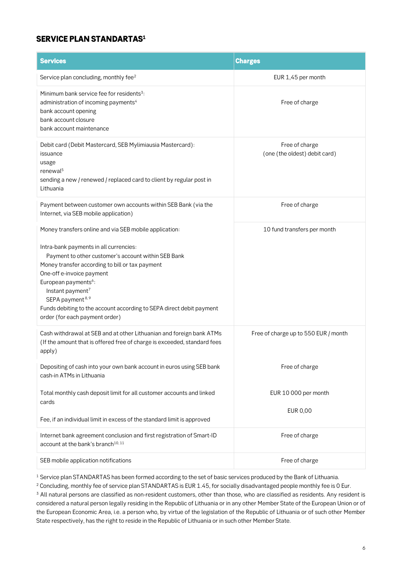#### *SERVICE PLAN STANDARTAS<sup>1</sup>*

| <b>Services</b>                                                                                                                                                                                                                                                                                                                                                                            | <b>Charges</b>                                  |
|--------------------------------------------------------------------------------------------------------------------------------------------------------------------------------------------------------------------------------------------------------------------------------------------------------------------------------------------------------------------------------------------|-------------------------------------------------|
| Service plan concluding, monthly fee <sup>2</sup>                                                                                                                                                                                                                                                                                                                                          | EUR 1,45 per month                              |
| Minimum bank service fee for residents <sup>3</sup> :<br>administration of incoming payments <sup>4</sup><br>bank account opening<br>bank account closure<br>bank account maintenance                                                                                                                                                                                                      | Free of charge                                  |
| Debit card (Debit Mastercard, SEB Mylimiausia Mastercard):<br>issuance<br>usage<br>renewal <sup>5</sup><br>sending a new / renewed / replaced card to client by regular post in<br>Lithuania                                                                                                                                                                                               | Free of charge<br>(one (the oldest) debit card) |
| Payment between customer own accounts within SEB Bank (via the<br>Internet, via SEB mobile application)                                                                                                                                                                                                                                                                                    | Free of charge                                  |
| Money transfers online and via SEB mobile application:                                                                                                                                                                                                                                                                                                                                     | 10 fund transfers per month                     |
| Intra-bank payments in all currencies:<br>Payment to other customer's account within SEB Bank<br>Money transfer according to bill or tax payment<br>One-off e-invoice payment<br>European payments <sup>6</sup> :<br>Instant payment <sup>7</sup><br>SEPA payment <sup>8,9</sup><br>Funds debiting to the account according to SEPA direct debit payment<br>order (for each payment order) |                                                 |
| Cash withdrawal at SEB and at other Lithuanian and foreign bank ATMs<br>(If the amount that is offered free of charge is exceeded, standard fees<br>apply)                                                                                                                                                                                                                                 | Free of charge up to 550 EUR / month            |
| Depositing of cash into your own bank account in euros using SEB bank<br>cash-in ATMs in Lithuania                                                                                                                                                                                                                                                                                         | Free of charge                                  |
| Total monthly cash deposit limit for all customer accounts and linked<br>cards                                                                                                                                                                                                                                                                                                             | EUR 10 000 per month<br><b>EUR 0,00</b>         |
| Fee, if an individual limit in excess of the standard limit is approved                                                                                                                                                                                                                                                                                                                    |                                                 |
| Internet bank agreement conclusion and first registration of Smart-ID<br>account at the bank's branch <sup>10,11</sup>                                                                                                                                                                                                                                                                     | Free of charge                                  |
| SEB mobile application notifications                                                                                                                                                                                                                                                                                                                                                       | Free of charge                                  |

**<sup>1</sup> Service plan STANDARTAS has been formed according to the set of basic services produced by the Bank of Lithuania.**

**<sup>2</sup> Concluding, monthly fee of service plan STANDARTAS is EUR 1.45, for socially disadvantaged people monthly fee is 0 Eur.**

**<sup>3</sup> All natural persons are classified as non-resident customers, other than those, who are classified as residents. Any resident is considered a natural person legally residing in the Republic of Lithuania or in any other Member State of the European Union or of the European Economic Area, i.e. a person who, by virtue of the legislation of the Republic of Lithuania or of such other Member State respectively, has the right to reside in the Republic of Lithuania or in such other Member State.**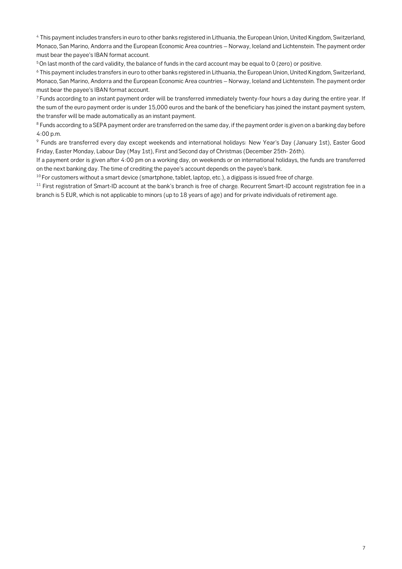**<sup>4</sup> This payment includes transfers in euro to other banks registered in Lithuania, the European Union, United Kingdom, Switzerland, Monaco, San Marino, Andorra and the European Economic Area countries – Norway, Iceland and Lichtenstein. The payment order must bear the payee's IBAN format account.**

**<sup>5</sup>On last month of the card validity, the balance of funds in the card account may be equal to 0 (zero) or positive.**

**<sup>6</sup> This payment includes transfers in euro to other banks registered in Lithuania, the European Union, United Kingdom, Switzerland, Monaco, San Marino, Andorra and the European Economic Area countries – Norway, Iceland and Lichtenstein. The payment order must bear the payee's IBAN format account.**

**<sup>7</sup> Funds according to an instant payment order will be transferred immediately twenty-four hours a day during the entire year. If the sum of the euro payment order is under 15,000 euros and the bank of the beneficiary has joined the instant payment system, the transfer will be made automatically as an instant payment.**

**<sup>8</sup> Funds according to a SEPA payment order are transferred on the same day, if the payment order is given on a banking day before 4:00 p.m.**

**<sup>9</sup> Funds are transferred every day except weekends and international holidays: New Year's Day (January 1st), Easter Good Friday, Easter Monday, Labour Day (May 1st), First and Second day of Christmas (December 25th- 26th).**

**If a payment order is given after 4:00 pm on a working day, on weekends or on international holidays, the funds are transferred on the next banking day. The time of crediting the payee's account depends on the payee's bank.**

**<sup>10</sup> For customers without a smart device (smartphone, tablet, laptop, etc.), a digipass is issued free of charge.**

**<sup>11</sup> First registration of Smart-ID account at the bank's branch is free of charge. Recurrent Smart-ID account registration fee in a branch is 5 EUR, which is not applicable to minors (up to 18 years of age) and for private individuals of retirement age.**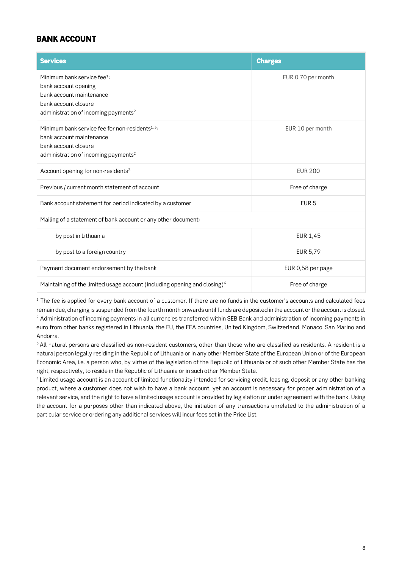### *BANK ACCOUNT*

| <b>Services</b>                                                                                                                                                         | <b>Charges</b>     |
|-------------------------------------------------------------------------------------------------------------------------------------------------------------------------|--------------------|
| Minimum bank service fee <sup>1</sup> :<br>bank account opening<br>bank account maintenance<br>bank account closure<br>administration of incoming payments <sup>2</sup> | EUR 0,70 per month |
| Minimum bank service fee for non-residents <sup>1,3</sup> :<br>bank account maintenance<br>bank account closure<br>administration of incoming payments <sup>2</sup>     | EUR 10 per month   |
| Account opening for non-residents <sup>3</sup>                                                                                                                          | <b>EUR 200</b>     |
| Previous / current month statement of account                                                                                                                           | Free of charge     |
| Bank account statement for period indicated by a customer                                                                                                               | EUR <sub>5</sub>   |
| Mailing of a statement of bank account or any other document:                                                                                                           |                    |
| by post in Lithuania                                                                                                                                                    | <b>EUR 1,45</b>    |
| by post to a foreign country                                                                                                                                            | EUR 5,79           |
| Payment document endorsement by the bank                                                                                                                                | EUR 0,58 per page  |
| Maintaining of the limited usage account (including opening and closing) <sup>4</sup>                                                                                   | Free of charge     |

**<sup>1</sup> The fee is applied for every bank account of a customer. If there are no funds in the customer's accounts and calculated fees remain due, charging is suspended from the fourth month onwards until funds are deposited in the account or the account is closed. <sup>2</sup> Administration of incoming payments in all currencies transferred within SEB Bank and administration of incoming payments in euro from other banks registered in Lithuania, the EU, the EEA countries, United Kingdom, Switzerland, Monaco, San Marino and Andorra.**

**<sup>3</sup>All natural persons are classified as non-resident customers, other than those who are classified as residents. A resident is a natural person legally residing in the Republic of Lithuania or in any other Member State of the European Union or of the European Economic Area, i.e. a person who, by virtue of the legislation of the Republic of Lithuania or of such other Member State has the right, respectively, to reside in the Republic of Lithuania or in such other Member State.**

**<sup>4</sup>Limited usage account is an account of limited functionality intended for servicing credit, leasing, deposit or any other banking product, where a customer does not wish to have a bank account, yet an account is necessary for proper administration of a relevant service, and the right to have a limited usage account is provided by legislation or under agreement with the bank. Using the account for a purposes other than indicated above, the initiation of any transactions unrelated to the administration of a particular service or ordering any additional services will incur fees set in the Price List.**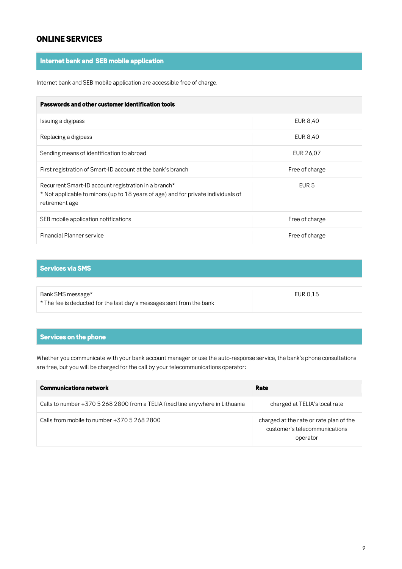### *ONLINE SERVICES*

### *Internet bank and SEB mobile application*

**Internet bank and SEB mobile application are accessible free of charge.**

| Passwords and other customer identification tools                                                                                                           |                |  |  |
|-------------------------------------------------------------------------------------------------------------------------------------------------------------|----------------|--|--|
| Issuing a digipass                                                                                                                                          | EUR 8,40       |  |  |
| Replacing a digipass                                                                                                                                        | EUR 8,40       |  |  |
| Sending means of identification to abroad                                                                                                                   | EUR 26,07      |  |  |
| First registration of Smart-ID account at the bank's branch                                                                                                 | Free of charge |  |  |
| Recurrent Smart-ID account registration in a branch*<br>* Not applicable to minors (up to 18 years of age) and for private individuals of<br>retirement age | EUR 5          |  |  |
| SEB mobile application notifications                                                                                                                        | Free of charge |  |  |
| <b>Financial Planner service</b>                                                                                                                            | Free of charge |  |  |

### *Services via SMS*

| Bank SMS message*                                                    | EUR 0.15 |
|----------------------------------------------------------------------|----------|
| * The fee is deducted for the last day's messages sent from the bank |          |

#### *Services on the phone*

**Whether you communicate with your bank account manager or use the auto-response service, the bank's phone consultations are free, but you will be charged for the call by your telecommunications operator:**

| <b>Communications network</b>                                                 | Rate                                                                                 |
|-------------------------------------------------------------------------------|--------------------------------------------------------------------------------------|
| Calls to number +370 5 268 2800 from a TELIA fixed line anywhere in Lithuania | charged at TELIA's local rate                                                        |
| Calls from mobile to number $+37052682800$                                    | charged at the rate or rate plan of the<br>customer's telecommunications<br>operator |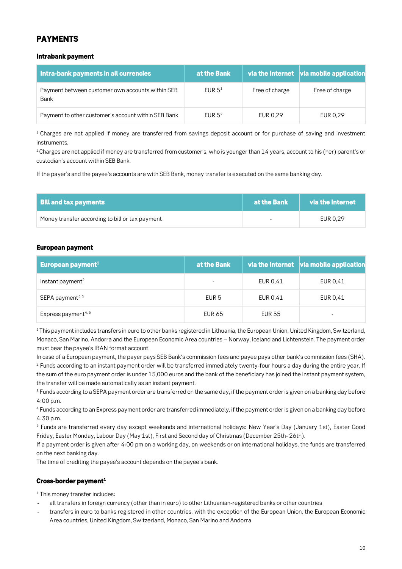### **PAYMENT**

#### *Intrabank payment*

| Intra-bank payments in all currencies                    | at the Bank        |                | $\mid$ via the Internet $\mid$ via mobile application |
|----------------------------------------------------------|--------------------|----------------|-------------------------------------------------------|
| Payment between customer own accounts within SEB<br>Bank | FUR 5 <sup>1</sup> | Free of charge | Free of charge                                        |
| Payment to other customer's account within SEB Bank      | FUR 5 <sup>2</sup> | EUR 0,29       | EUR 0,29                                              |

**<sup>1</sup>Charges are not applied if money are transferred from savings deposit account or for purchase of saving and investment instruments.**

**<sup>2</sup>Charges are not applied if money are transferred from customer's, who is younger than 14 years, account to his (her) parent's or custodian's account within SEB Bank.**

**If the payer's and the payee's accounts are with SEB Bank, money transfer is executed on the same banking day.**

| <b>Bill and tax payments</b>                    | at the Bank              | via the Internet |
|-------------------------------------------------|--------------------------|------------------|
| Money transfer according to bill or tax payment | $\overline{\phantom{a}}$ | EUR 0.29         |

#### *European payment*

| European payment <sup>1</sup>   | at the Bank      |               | via the Internet via mobile application |
|---------------------------------|------------------|---------------|-----------------------------------------|
| Instant payment <sup>2</sup>    |                  | EUR 0,41      | EUR 0.41                                |
| SEPA payment <sup>3,5</sup>     | EUR <sub>5</sub> | EUR 0,41      | EUR 0.41                                |
| Express payment <sup>4, 5</sup> | <b>EUR 65</b>    | <b>EUR 55</b> | $\overline{\phantom{a}}$                |

**<sup>1</sup>This payment includes transfers in euro to other banks registered in Lithuania, the European Union, United Kingdom, Switzerland, Monaco, San Marino, Andorra and the European Economic Area countries – Norway, Iceland and Lichtenstein. The payment order must bear the payee's IBAN format account.**

**In case of a European payment, the payer pays SEB Bank's commission fees and payee pays other bank's commission fees (SHA). <sup>2</sup> Funds according to an instant payment order will be transferred immediately twenty-four hours a day during the entire year. If the sum of the euro payment order is under 15,000 euros and the bank of the beneficiary has joined the instant payment system, the transfer will be made automatically as an instant payment.**

**<sup>3</sup> Funds according to a SEPA payment order are transferred on the same day, if the payment order is given on a banking day before 4:00 p.m.**

**<sup>4</sup> Funds according to an Express payment order are transferred immediately, if the payment order is given on a banking day before 4:30 p.m.**

**<sup>5</sup> Funds are transferred every day except weekends and international holidays: New Year's Day (January 1st), Easter Good Friday, Easter Monday, Labour Day (May 1st), First and Second day of Christmas (December 25th- 26th).**

**If a payment order is given after 4:00 pm on a working day, on weekends or on international holidays, the funds are transferred on the next banking day.**

**The time of crediting the payee's account depends on the payee's bank.**

#### *Cross-border payment<sup>1</sup>*

**<sup>1</sup> This money transfer includes:**

- **all transfers in foreign currency (other than in euro) to other Lithuanian-registered banks or other countries**
- **transfers in euro to banks registered in other countries, with the exception of the European Union, the European Economic Area countries, United Kingdom, Switzerland, Monaco, San Marino and Andorra**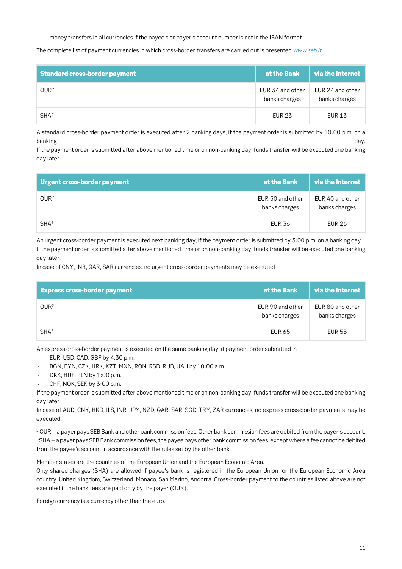**money transfers in all currencies if the payee's or payer's account number is not in the IBAN format**

**The complete list of payment currencies in which cross-border transfers are carried out is presented** *[www.seb.lt](http://www.seb.lt/)***.**

| <b>Standard cross-border payment</b> | at the Bank                       | via the Internet                  |
|--------------------------------------|-----------------------------------|-----------------------------------|
| OWR <sup>2</sup>                     | EUR 34 and other<br>banks charges | EUR 24 and other<br>banks charges |
| SHA <sup>3</sup>                     | <b>EUR 23</b>                     | <b>EUR 13</b>                     |

**A standard cross-border payment order is executed after 2 banking days, if the payment order is submitted by 10:00 p.m. on a banking day.**

**If the payment order is submitted after above mentioned time or on non-banking day, funds transfer will be executed one banking day later.**

| Urgent cross-border payment | at the Bank                       | via the Internet                  |
|-----------------------------|-----------------------------------|-----------------------------------|
| OWR <sup>2</sup>            | EUR 50 and other<br>banks charges | EUR 40 and other<br>banks charges |
| SHA <sup>3</sup>            | <b>EUR 36</b>                     | <b>EUR 26</b>                     |

**An urgent cross-border payment is executed next banking day, if the payment order is submitted by 3:00 p.m. on a banking day. If the payment order is submitted after above mentioned time or on non-banking day, funds transfer will be executed one banking day later.**

**In case of CNY, INR, QAR, SAR currencies, no urgent cross-border payments may be executed**

| <b>Express cross-border payment</b> | at the Bank                       | via the Internet                  |
|-------------------------------------|-----------------------------------|-----------------------------------|
| OWR <sup>2</sup>                    | EUR 90 and other<br>banks charges | EUR 80 and other<br>banks charges |
| SHA <sup>3</sup>                    | <b>EUR 65</b>                     | <b>EUR 55</b>                     |

**An express cross-border payment is executed on the same banking day, if payment order submitted in**

- **EUR, USD, CAD, GBP by 4.30 p.m.**
- **BGN, BYN, CZK, HRK, KZT, MXN, RON, RSD, RUB, UAH by 10:00 a.m.**
- **DKK, HUF, PLN by 1:00 p.m.**
- **CHF, NOK, SEK by 3:00 p.m.**

**If the payment order is submitted after above mentioned time or on non-banking day, funds transfer will be executed one banking day later.**

**In case of AUD, CNY, HKD, ILS, INR, JPY, NZD, QAR, SAR, SGD, TRY, ZAR currencies, no express cross-border payments may be executed.**

**<sup>2</sup>OUR – a payer pays SEB Bank and other bank commission fees. Other bank commission fees are debited from the payer's account. <sup>3</sup>SHA – a payer pays SEB Bank commission fees, the payee pays other bank commission fees, except where a fee cannot be debited from the payee's account in accordance with the rules set by the other bank.**

**Member states are the countries of the European Union and the European Economic Area.**

**Only shared charges (SHA) are allowed if payee's bank is registered in the European Union or the European Economic Area country, United Kingdom, Switzerland, Monaco, San Marino, Andorra. Cross-border payment to the countries listed above are not executed if the bank fees are paid only by the payer (OUR).**

**Foreign currency is a currency other than the euro.**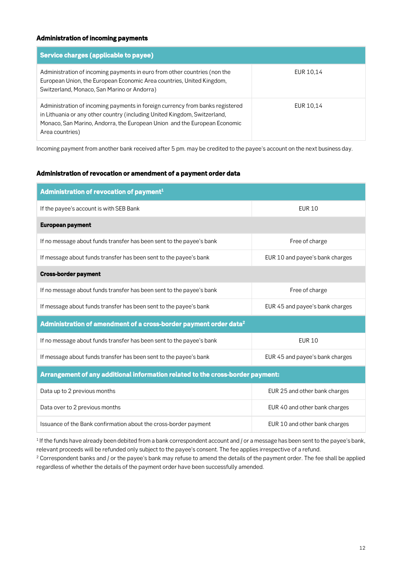#### *Administration of incoming payments*

| Service charges (applicable to payee)                                                                                                                                                                                                                      |           |
|------------------------------------------------------------------------------------------------------------------------------------------------------------------------------------------------------------------------------------------------------------|-----------|
| Administration of incoming payments in euro from other countries (non the<br>European Union, the European Economic Area countries, United Kingdom,<br>Switzerland, Monaco, San Marino or Andorra)                                                          | EUR 10,14 |
| Administration of incoming payments in foreign currency from banks registered<br>in Lithuania or any other country (including United Kingdom, Switzerland,<br>Monaco, San Marino, Andorra, the European Union and the European Economic<br>Area countries) | EUR 10,14 |

**Incoming payment from another bank received after 5 pm. may be credited to the payee's account on the next business day.**

#### *Administration of revocation or amendment of a payment order data*

| Administration of revocation of payment <sup>1</sup>                           |                                 |  |
|--------------------------------------------------------------------------------|---------------------------------|--|
| If the payee's account is with SEB Bank                                        | <b>EUR 10</b>                   |  |
| <b>European payment</b>                                                        |                                 |  |
| If no message about funds transfer has been sent to the payee's bank           | Free of charge                  |  |
| If message about funds transfer has been sent to the payee's bank              | EUR 10 and payee's bank charges |  |
| <b>Cross-border payment</b>                                                    |                                 |  |
| If no message about funds transfer has been sent to the payee's bank           | Free of charge                  |  |
| If message about funds transfer has been sent to the payee's bank              | EUR 45 and payee's bank charges |  |
| Administration of amendment of a cross-border payment order data <sup>2</sup>  |                                 |  |
| If no message about funds transfer has been sent to the payee's bank           | <b>EUR 10</b>                   |  |
| If message about funds transfer has been sent to the payee's bank              | EUR 45 and payee's bank charges |  |
| Arrangement of any additional information related to the cross-border payment: |                                 |  |
| Data up to 2 previous months                                                   | EUR 25 and other bank charges   |  |
| Data over to 2 previous months                                                 | EUR 40 and other bank charges   |  |
| Issuance of the Bank confirmation about the cross-border payment               | EUR 10 and other bank charges   |  |

**<sup>1</sup>If the funds have already been debited from a bank correspondent account and / or a message has been sent to the payee's bank, relevant proceeds will be refunded only subject to the payee's consent. The fee applies irrespective of a refund.**

**<sup>2</sup> Correspondent banks and / or the payee's bank may refuse to amend the details of the payment order. The fee shall be applied regardless of whether the details of the payment order have been successfully amended.**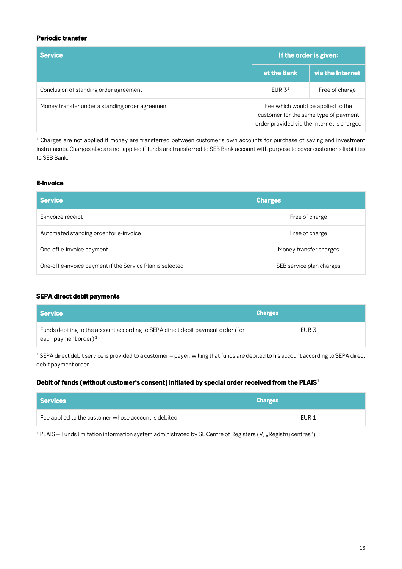#### *Periodic transfer*

| <b>Service</b>                                  | If the order is given:                                                                                                   |                  |
|-------------------------------------------------|--------------------------------------------------------------------------------------------------------------------------|------------------|
|                                                 | at the Bank                                                                                                              | via the Internet |
| Conclusion of standing order agreement          | EUR $31$                                                                                                                 | Free of charge   |
| Money transfer under a standing order agreement | Fee which would be applied to the<br>customer for the same type of payment<br>order provided via the Internet is charged |                  |

**<sup>1</sup> Charges are not applied if money are transferred between customer's own accounts for purchase of saving and investment instruments. Charges also are not applied if funds are transferred to SEB Bank account with purpose to cover customer's liabilities to SEB Bank.**

#### *E-invoice*

| <b>Service</b>                                            | <b>Charges</b>           |
|-----------------------------------------------------------|--------------------------|
| E-invoice receipt                                         | Free of charge           |
| Automated standing order for e-invoice                    | Free of charge           |
| One-off e-invoice payment                                 | Money transfer charges   |
| One-off e-invoice payment if the Service Plan is selected | SEB service plan charges |

#### *SEPA direct debit payments*

| Service                                                                                                    | <b>Charges</b>   |
|------------------------------------------------------------------------------------------------------------|------------------|
| Funds debiting to the account according to SEPA direct debit payment order (for<br>each payment order) $1$ | EUR <sub>3</sub> |

<sup>1</sup> SEPA direct debit service is provided to a customer – payer, willing that funds are debited to his account according to SEPA direct **debit payment order.**

#### *Debit of funds (without customer's consent) initiated by special order received from the PLAIS<sup>1</sup>*

| Services                                             | <b>Charges</b> |
|------------------------------------------------------|----------------|
| Fee applied to the customer whose account is debited | EUR 1          |

**<sup>1</sup> PLAIS – Funds limitation information system administrated by SE Centre of Registers (VĮ "Registrų centras").**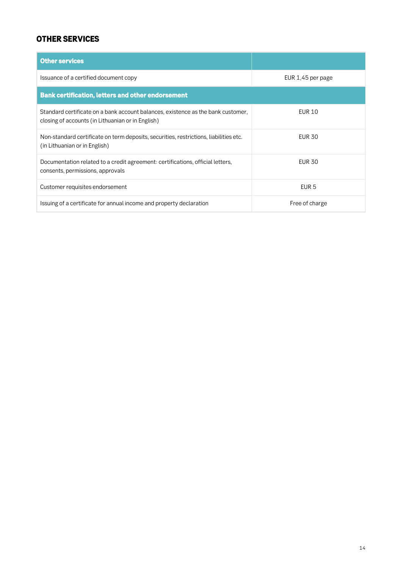### *OTHER SERVICES*

| <b>Other services</b>                                                                                                                 |                   |
|---------------------------------------------------------------------------------------------------------------------------------------|-------------------|
| Issuance of a certified document copy                                                                                                 | EUR 1,45 per page |
| <b>Bank certification, letters and other endorsement</b>                                                                              |                   |
| Standard certificate on a bank account balances, existence as the bank customer,<br>closing of accounts (in Lithuanian or in English) | EUR 10            |
| Non-standard certificate on term deposits, securities, restrictions, liabilities etc.<br>(in Lithuanian or in English)                | <b>EUR 30</b>     |
| Documentation related to a credit agreement: certifications, official letters,<br>consents, permissions, approvals                    | <b>EUR 30</b>     |
| Customer requisites endorsement                                                                                                       | EUR <sub>5</sub>  |
| Issuing of a certificate for annual income and property declaration                                                                   | Free of charge    |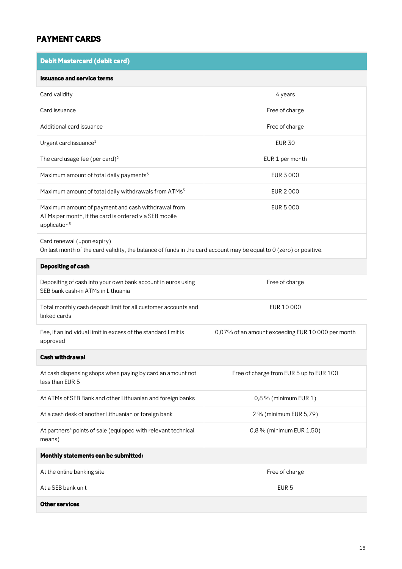## *PAYMENT CARDS*

| <b>Debit Mastercard (debit card)</b>                                                                                                             |                                                   |  |
|--------------------------------------------------------------------------------------------------------------------------------------------------|---------------------------------------------------|--|
| <b>Issuance and service terms</b>                                                                                                                |                                                   |  |
| Card validity                                                                                                                                    | 4 years                                           |  |
| Card issuance                                                                                                                                    | Free of charge                                    |  |
| Additional card issuance                                                                                                                         | Free of charge                                    |  |
| Urgent card issuance <sup>1</sup>                                                                                                                | <b>EUR 30</b>                                     |  |
| The card usage fee (per card) <sup>2</sup>                                                                                                       | EUR 1 per month                                   |  |
| Maximum amount of total daily payments <sup>3</sup>                                                                                              | <b>EUR 3000</b>                                   |  |
| Maximum amount of total daily withdrawals from ATMs <sup>3</sup>                                                                                 | <b>EUR 2000</b>                                   |  |
| Maximum amount of payment and cash withdrawal from<br>ATMs per month, if the card is ordered via SEB mobile<br>application <sup>3</sup>          | <b>EUR 5 000</b>                                  |  |
| Card renewal (upon expiry)<br>On last month of the card validity, the balance of funds in the card account may be equal to 0 (zero) or positive. |                                                   |  |
| Depositing of cash                                                                                                                               |                                                   |  |
| Depositing of cash into your own bank account in euros using<br>SEB bank cash-in ATMs in Lithuania                                               | Free of charge                                    |  |
| Total monthly cash deposit limit for all customer accounts and<br>linked cards                                                                   | EUR 10 000                                        |  |
| Fee, if an individual limit in excess of the standard limit is<br>approved                                                                       | 0,07% of an amount exceeding EUR 10 000 per month |  |
| <b>Cash withdrawal</b>                                                                                                                           |                                                   |  |
| At cash dispensing shops when paying by card an amount not<br>less than EUR 5                                                                    | Free of charge from EUR 5 up to EUR 100           |  |
| At ATMs of SEB Bank and other Lithuanian and foreign banks                                                                                       | 0,8 % (minimum EUR 1)                             |  |
| At a cash desk of another Lithuanian or foreign bank                                                                                             | 2 % (minimum EUR 5,79)                            |  |
| At partners <sup>4</sup> points of sale (equipped with relevant technical<br>means)                                                              | 0,8 % (minimum EUR 1,50)                          |  |
| Monthly statements can be submitted:                                                                                                             |                                                   |  |
| At the online banking site                                                                                                                       | Free of charge                                    |  |
| At a SEB bank unit                                                                                                                               | EUR <sub>5</sub>                                  |  |
| <b>Other services</b>                                                                                                                            |                                                   |  |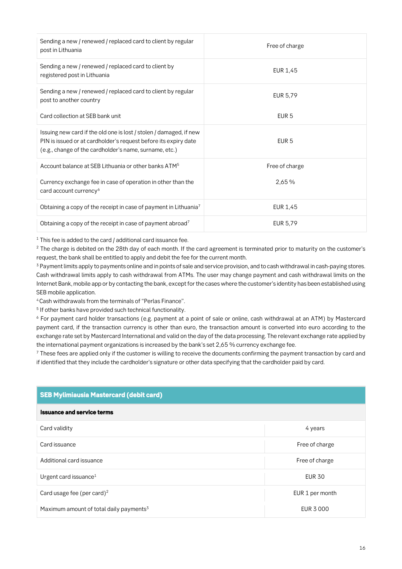| Sending a new / renewed / replaced card to client by regular<br>post in Lithuania                                                                                                               | Free of charge   |
|-------------------------------------------------------------------------------------------------------------------------------------------------------------------------------------------------|------------------|
| Sending a new / renewed / replaced card to client by<br>registered post in Lithuania                                                                                                            | EUR 1,45         |
| Sending a new / renewed / replaced card to client by regular<br>post to another country                                                                                                         | EUR 5,79         |
| Card collection at SEB bank unit                                                                                                                                                                | EUR <sub>5</sub> |
| Issuing new card if the old one is lost / stolen / damaged, if new<br>PIN is issued or at cardholder's request before its expiry date<br>(e.g., change of the cardholder's name, surname, etc.) | EUR <sub>5</sub> |
| Account balance at SEB Lithuania or other banks ATM <sup>5</sup>                                                                                                                                | Free of charge   |
| Currency exchange fee in case of operation in other than the<br>card account currency <sup>6</sup>                                                                                              | 2,65 %           |
| Obtaining a copy of the receipt in case of payment in Lithuania <sup>7</sup>                                                                                                                    | EUR 1,45         |
| Obtaining a copy of the receipt in case of payment abroad7                                                                                                                                      | EUR 5,79         |

**<sup>1</sup> This fee is added to the card / additional card issuance fee.**

**<sup>2</sup> The charge is debited on the 28th day of each month. If the card agreement is terminated prior to maturity on the customer's request, the bank shall be entitled to apply and debit the fee for the current month.**

**<sup>3</sup> Payment limits apply to payments online and in points of sale and service provision, and to cash withdrawal in cash-paying stores. Cash withdrawal limits apply to cash withdrawal from ATMs. The user may change payment and cash withdrawal limits on the Internet Bank, mobile app or by contacting the bank, except for the cases where the customer's identity has been established using SEB mobile application.**

**<sup>4</sup>Cash withdrawals from the terminals of "Perlas Finance".**

**5 If other banks have provided such technical functionality.**

**<sup>6</sup> For payment card holder transactions (e.g. payment at a point of sale or online, cash withdrawal at an ATM) by Mastercard payment card, if the transaction currency is other than euro, the transaction amount is converted into euro according to the exchange rate set by Mastercard International and valid on the day of the data processing. The relevant exchange rate applied by the international payment organizations is increased by the bank's set 2,65 % currency exchange fee.**

**<sup>7</sup> These fees are applied only if the customer is willing to receive the documents confirming the payment transaction by card and if identified that they include the cardholder's signature or other data specifying that the cardholder paid by card.**

### *SEB Mylimiausia Mastercard (debit card)*

#### *Issuance and service terms*

| Card validity                                       | 4 years         |
|-----------------------------------------------------|-----------------|
| Card issuance                                       | Free of charge  |
| Additional card issuance                            | Free of charge  |
| Urgent card issuance $1$                            | <b>EUR 30</b>   |
| Card usage fee (per card) <sup>2</sup>              | EUR 1 per month |
| Maximum amount of total daily payments <sup>3</sup> | EUR 3000        |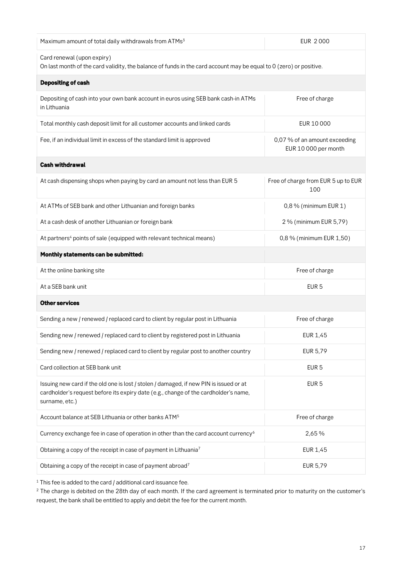| Maximum amount of total daily withdrawals from ATMs <sup>3</sup>                                                                                                                                | <b>EUR 2000</b>                                       |  |
|-------------------------------------------------------------------------------------------------------------------------------------------------------------------------------------------------|-------------------------------------------------------|--|
| Card renewal (upon expiry)<br>On last month of the card validity, the balance of funds in the card account may be equal to 0 (zero) or positive.                                                |                                                       |  |
| <b>Depositing of cash</b>                                                                                                                                                                       |                                                       |  |
| Depositing of cash into your own bank account in euros using SEB bank cash-in ATMs<br>in Lithuania                                                                                              | Free of charge                                        |  |
| Total monthly cash deposit limit for all customer accounts and linked cards                                                                                                                     | EUR 10 000                                            |  |
| Fee, if an individual limit in excess of the standard limit is approved                                                                                                                         | 0,07 % of an amount exceeding<br>EUR 10 000 per month |  |
| <b>Cash withdrawal</b>                                                                                                                                                                          |                                                       |  |
| At cash dispensing shops when paying by card an amount not less than EUR 5                                                                                                                      | Free of charge from EUR 5 up to EUR<br>100            |  |
| At ATMs of SEB bank and other Lithuanian and foreign banks                                                                                                                                      | 0,8 % (minimum EUR 1)                                 |  |
| At a cash desk of another Lithuanian or foreign bank                                                                                                                                            | 2 % (minimum EUR 5,79)                                |  |
| At partners <sup>4</sup> points of sale (equipped with relevant technical means)                                                                                                                | 0,8 % (minimum EUR 1,50)                              |  |
| Monthly statements can be submitted:                                                                                                                                                            |                                                       |  |
| At the online banking site                                                                                                                                                                      | Free of charge                                        |  |
| At a SEB bank unit                                                                                                                                                                              | EUR <sub>5</sub>                                      |  |
| <b>Other services</b>                                                                                                                                                                           |                                                       |  |
| Sending a new / renewed / replaced card to client by regular post in Lithuania                                                                                                                  | Free of charge                                        |  |
| Sending new / renewed / replaced card to client by registered post in Lithuania                                                                                                                 | <b>EUR 1,45</b>                                       |  |
| Sending new / renewed / replaced card to client by regular post to another country                                                                                                              | EUR 5,79                                              |  |
| Card collection at SEB bank unit                                                                                                                                                                | EUR <sub>5</sub>                                      |  |
| Issuing new card if the old one is lost / stolen / damaged, if new PIN is issued or at<br>cardholder's request before its expiry date (e.g., change of the cardholder's name,<br>surname, etc.) | EUR <sub>5</sub>                                      |  |
| Account balance at SEB Lithuania or other banks ATM <sup>5</sup>                                                                                                                                | Free of charge                                        |  |
| Currency exchange fee in case of operation in other than the card account currency <sup>6</sup>                                                                                                 | 2,65%                                                 |  |
| Obtaining a copy of the receipt in case of payment in Lithuania <sup>7</sup>                                                                                                                    | EUR 1,45                                              |  |
| Obtaining a copy of the receipt in case of payment abroad7                                                                                                                                      | EUR 5,79                                              |  |

**<sup>1</sup> This fee is added to the card / additional card issuance fee.**

**<sup>2</sup> The charge is debited on the 28th day of each month. If the card agreement is terminated prior to maturity on the customer's request, the bank shall be entitled to apply and debit the fee for the current month.**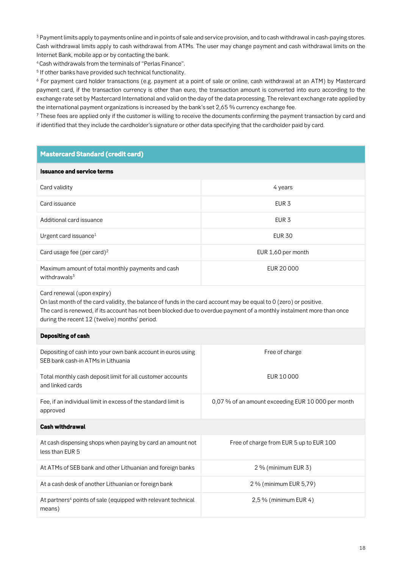**<sup>3</sup> Payment limits apply to payments online and in points of sale and service provision, and to cash withdrawal in cash-paying stores. Cash withdrawal limits apply to cash withdrawal from ATMs. The user may change payment and cash withdrawal limits on the Internet Bank, mobile app or by contacting the bank.**

**<sup>4</sup>Cash withdrawals from the terminals of "Perlas Finance".**

**5 If other banks have provided such technical functionality.**

**<sup>6</sup> For payment card holder transactions (e.g. payment at a point of sale or online, cash withdrawal at an ATM) by Mastercard payment card, if the transaction currency is other than euro, the transaction amount is converted into euro according to the exchange rate set by Mastercard International and valid on the day of the data processing. The relevant exchange rate applied by the international payment organizations is increased by the bank's set 2,65 % currency exchange fee.**

**<sup>7</sup> These fees are applied only if the customer is willing to receive the documents confirming the payment transaction by card and if identified that they include the cardholder's signature or other data specifying that the cardholder paid by card.**

| <b>Mastercard Standard (credit card)</b>                                                                                                                                                                                                                                                                                    |                                                    |  |  |
|-----------------------------------------------------------------------------------------------------------------------------------------------------------------------------------------------------------------------------------------------------------------------------------------------------------------------------|----------------------------------------------------|--|--|
| <b>Issuance and service terms</b>                                                                                                                                                                                                                                                                                           |                                                    |  |  |
| Card validity                                                                                                                                                                                                                                                                                                               | 4 years                                            |  |  |
| Card issuance                                                                                                                                                                                                                                                                                                               | EUR <sub>3</sub>                                   |  |  |
| Additional card issuance                                                                                                                                                                                                                                                                                                    | EUR <sub>3</sub>                                   |  |  |
| Urgent card issuance <sup>1</sup>                                                                                                                                                                                                                                                                                           | <b>EUR 30</b>                                      |  |  |
| Card usage fee (per card) <sup>2</sup>                                                                                                                                                                                                                                                                                      | EUR 1,60 per month                                 |  |  |
| Maximum amount of total monthly payments and cash<br>withdrawals <sup>3</sup>                                                                                                                                                                                                                                               | <b>EUR 20 000</b>                                  |  |  |
| Card renewal (upon expiry)<br>On last month of the card validity, the balance of funds in the card account may be equal to 0 (zero) or positive.<br>The card is renewed, if its account has not been blocked due to overdue payment of a monthly instalment more than once<br>during the recent 12 (twelve) months' period. |                                                    |  |  |
| <b>Depositing of cash</b>                                                                                                                                                                                                                                                                                                   |                                                    |  |  |
| Depositing of cash into your own bank account in euros using<br>SEB bank cash-in ATMs in Lithuania                                                                                                                                                                                                                          | Free of charge                                     |  |  |
| Total monthly cash deposit limit for all customer accounts<br>and linked cards                                                                                                                                                                                                                                              | EUR 10000                                          |  |  |
| Fee, if an individual limit in excess of the standard limit is<br>approved                                                                                                                                                                                                                                                  | 0,07 % of an amount exceeding EUR 10 000 per month |  |  |
| <b>Cash withdrawal</b>                                                                                                                                                                                                                                                                                                      |                                                    |  |  |
| At cash dispensing shops when paying by card an amount not<br>less than EUR 5                                                                                                                                                                                                                                               | Free of charge from EUR 5 up to EUR 100            |  |  |
| At ATMs of SEB bank and other Lithuanian and foreign banks                                                                                                                                                                                                                                                                  | 2 % (minimum EUR 3)                                |  |  |
| At a cash desk of another Lithuanian or foreign bank                                                                                                                                                                                                                                                                        | 2 % (minimum EUR 5,79)                             |  |  |
| At partners <sup>4</sup> points of sale (equipped with relevant technical<br>means)                                                                                                                                                                                                                                         | 2,5 % (minimum EUR 4)                              |  |  |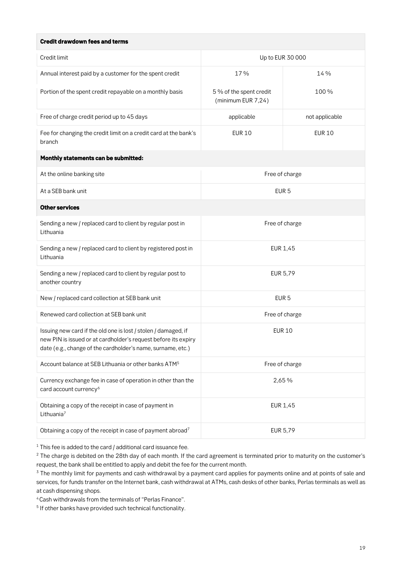#### *Credit drawdown fees and terms*

| Credit limit                                                                                                                                                                                    | Up to EUR 30 000                              |                |
|-------------------------------------------------------------------------------------------------------------------------------------------------------------------------------------------------|-----------------------------------------------|----------------|
| Annual interest paid by a customer for the spent credit                                                                                                                                         | 17%                                           | 14 %           |
| Portion of the spent credit repayable on a monthly basis                                                                                                                                        | 5 % of the spent credit<br>(minimum EUR 7,24) | 100%           |
| Free of charge credit period up to 45 days                                                                                                                                                      | applicable                                    | not applicable |
| Fee for changing the credit limit on a credit card at the bank's<br>branch                                                                                                                      | <b>EUR 10</b>                                 | <b>EUR 10</b>  |
| Monthly statements can be submitted:                                                                                                                                                            |                                               |                |
| At the online banking site                                                                                                                                                                      | Free of charge                                |                |
| At a SEB bank unit                                                                                                                                                                              | EUR <sub>5</sub>                              |                |
| <b>Other services</b>                                                                                                                                                                           |                                               |                |
| Sending a new / replaced card to client by regular post in<br>Lithuania                                                                                                                         | Free of charge                                |                |
| Sending a new / replaced card to client by registered post in<br>Lithuania                                                                                                                      | EUR 1,45                                      |                |
| Sending a new / replaced card to client by regular post to<br>another country                                                                                                                   | EUR 5,79                                      |                |
| New / replaced card collection at SEB bank unit                                                                                                                                                 | EUR <sub>5</sub>                              |                |
| Renewed card collection at SEB bank unit                                                                                                                                                        | Free of charge                                |                |
| Issuing new card if the old one is lost / stolen / damaged, if<br>new PIN is issued or at cardholder's request before its expiry<br>date (e.g., change of the cardholder's name, surname, etc.) | <b>EUR 10</b>                                 |                |
| Account balance at SEB Lithuania or other banks ATM <sup>5</sup>                                                                                                                                | Free of charge                                |                |
| Currency exchange fee in case of operation in other than the<br>card account currency <sup>6</sup>                                                                                              | 2,65 %                                        |                |
| Obtaining a copy of the receipt in case of payment in<br>Lithuania <sup>7</sup>                                                                                                                 | EUR 1,45                                      |                |
| Obtaining a copy of the receipt in case of payment abroad7                                                                                                                                      | EUR 5,79                                      |                |
|                                                                                                                                                                                                 |                                               |                |

**<sup>1</sup> This fee is added to the card / additional card issuance fee.**

**<sup>2</sup> The charge is debited on the 28th day of each month. If the card agreement is terminated prior to maturity on the customer's request, the bank shall be entitled to apply and debit the fee for the current month.**

**<sup>3</sup> The monthly limit for payments and cash withdrawal by a payment card applies for payments online and at points of sale and services, for funds transfer on the Internet bank, cash withdrawal at ATMs, cash desks of other banks, Perlas terminals as well as at cash dispensing shops.**

**<sup>4</sup>Cash withdrawals from the terminals of "Perlas Finance".**

**5 If other banks have provided such technical functionality.**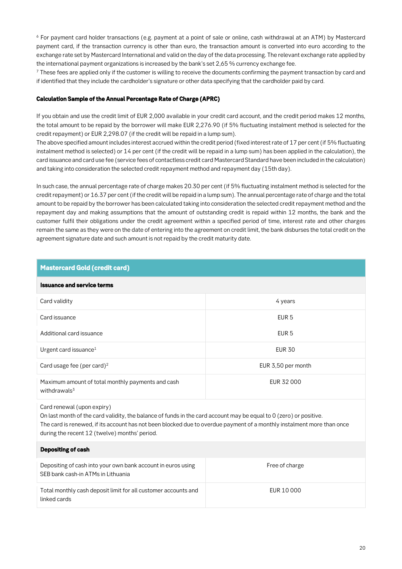**<sup>6</sup> For payment card holder transactions (e.g. payment at a point of sale or online, cash withdrawal at an ATM) by Mastercard payment card, if the transaction currency is other than euro, the transaction amount is converted into euro according to the exchange rate set by Mastercard International and valid on the day of the data processing. The relevant exchange rate applied by the international payment organizations is increased by the bank's set 2,65 % currency exchange fee.**

**<sup>7</sup> These fees are applied only if the customer is willing to receive the documents confirming the payment transaction by card and if identified that they include the cardholder's signature or other data specifying that the cardholder paid by card.**

#### *Calculation Sample of the Annual Percentage Rate of Charge (APRC)*

**If you obtain and use the credit limit of EUR 2,000 available in your credit card account, and the credit period makes 12 months, the total amount to be repaid by the borrower will make EUR 2,276.90 (if 5% fluctuating instalment method is selected for the credit repayment) or EUR 2,298.07 (if the credit will be repaid in a lump sum).** 

**The above specified amount includes interest accrued within the credit period (fixed interest rate of 17 per cent (if 5% fluctuating instalment method is selected) or 14 per cent (if the credit will be repaid in a lump sum) has been applied in the calculation), the card issuance and card use fee (service fees of contactless credit card Mastercard Standard have been included in the calculation) and taking into consideration the selected credit repayment method and repayment day (15th day).** 

**In such case, the annual percentage rate of charge makes 20.30 per cent (if 5% fluctuating instalment method is selected for the credit repayment) or 16.37 per cent (if the credit will be repaid in a lump sum). The annual percentage rate of charge and the total amount to be repaid by the borrower has been calculated taking into consideration the selected credit repayment method and the repayment day and making assumptions that the amount of outstanding credit is repaid within 12 months, the bank and the customer fulfil their obligations under the credit agreement within a specified period of time, interest rate and other charges remain the same as they were on the date of entering into the agreement on credit limit, the bank disburses the total credit on the agreement signature date and such amount is not repaid by the credit maturity date.** 

| <b>Mastercard Gold (credit card)</b>                                                                                                                                                                                                                                                                                        |                    |  |
|-----------------------------------------------------------------------------------------------------------------------------------------------------------------------------------------------------------------------------------------------------------------------------------------------------------------------------|--------------------|--|
| <b>Issuance and service terms</b>                                                                                                                                                                                                                                                                                           |                    |  |
| Card validity                                                                                                                                                                                                                                                                                                               | 4 years            |  |
| Card issuance                                                                                                                                                                                                                                                                                                               | EUR <sub>5</sub>   |  |
| Additional card issuance                                                                                                                                                                                                                                                                                                    | EUR <sub>5</sub>   |  |
| Urgent card issuance <sup>1</sup>                                                                                                                                                                                                                                                                                           | <b>EUR 30</b>      |  |
| Card usage fee (per card) <sup>2</sup>                                                                                                                                                                                                                                                                                      | EUR 3,50 per month |  |
| Maximum amount of total monthly payments and cash<br>withdrawals <sup>3</sup>                                                                                                                                                                                                                                               | EUR 32 000         |  |
| Card renewal (upon expiry)<br>On last month of the card validity, the balance of funds in the card account may be equal to 0 (zero) or positive.<br>The card is renewed, if its account has not been blocked due to overdue payment of a monthly instalment more than once<br>during the recent 12 (twelve) months' period. |                    |  |
| <b>Depositing of cash</b>                                                                                                                                                                                                                                                                                                   |                    |  |
| Depositing of cash into your own bank account in euros using<br>SEB bank cash-in ATMs in Lithuania                                                                                                                                                                                                                          | Free of charge     |  |
| Total monthly cash deposit limit for all customer accounts and<br>linked cards                                                                                                                                                                                                                                              | EUR 10 000         |  |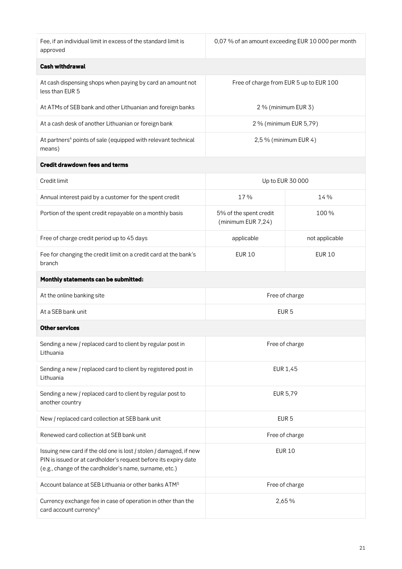**Fee, if an individual limit in excess of the standard limit is approved**

**0,07 % of an amount exceeding EUR 10 000 per month**

| Cash withdrawal |  |
|-----------------|--|

| <b>Cash withdrawal</b>                                                                                                                                                                          |                                              |                |  |
|-------------------------------------------------------------------------------------------------------------------------------------------------------------------------------------------------|----------------------------------------------|----------------|--|
| At cash dispensing shops when paying by card an amount not<br>less than EUR 5                                                                                                                   | Free of charge from EUR 5 up to EUR 100      |                |  |
| At ATMs of SEB bank and other Lithuanian and foreign banks                                                                                                                                      | 2 % (minimum EUR 3)                          |                |  |
| At a cash desk of another Lithuanian or foreign bank                                                                                                                                            | 2 % (minimum EUR 5,79)                       |                |  |
| At partners <sup>4</sup> points of sale (equipped with relevant technical<br>means)                                                                                                             | 2,5 % (minimum EUR 4)                        |                |  |
| <b>Credit drawdown fees and terms</b>                                                                                                                                                           |                                              |                |  |
| Credit limit                                                                                                                                                                                    | Up to EUR 30 000                             |                |  |
| Annual interest paid by a customer for the spent credit                                                                                                                                         | 17%                                          | 14 %           |  |
| Portion of the spent credit repayable on a monthly basis                                                                                                                                        | 5% of the spent credit<br>(minimum EUR 7,24) | 100%           |  |
| Free of charge credit period up to 45 days                                                                                                                                                      | applicable                                   | not applicable |  |
| Fee for changing the credit limit on a credit card at the bank's<br>branch                                                                                                                      | <b>EUR 10</b>                                | <b>EUR 10</b>  |  |
| Monthly statements can be submitted:                                                                                                                                                            |                                              |                |  |
| At the online banking site                                                                                                                                                                      | Free of charge                               |                |  |
| At a SEB bank unit                                                                                                                                                                              | EUR <sub>5</sub>                             |                |  |
| <b>Other services</b>                                                                                                                                                                           |                                              |                |  |
| Sending a new / replaced card to client by regular post in<br>Lithuania                                                                                                                         | Free of charge                               |                |  |
| Sending a new / replaced card to client by registered post in<br>Lithuania                                                                                                                      | <b>EUR 1,45</b>                              |                |  |
| Sending a new / replaced card to client by regular post to<br>another country                                                                                                                   | <b>EUR 5,79</b>                              |                |  |
| New / replaced card collection at SEB bank unit                                                                                                                                                 | EUR <sub>5</sub>                             |                |  |
| Renewed card collection at SEB bank unit                                                                                                                                                        | Free of charge                               |                |  |
| Issuing new card if the old one is lost / stolen / damaged, if new<br>PIN is issued or at cardholder's request before its expiry date<br>(e.g., change of the cardholder's name, surname, etc.) | <b>EUR 10</b>                                |                |  |
| Account balance at SEB Lithuania or other banks ATM <sup>5</sup>                                                                                                                                | Free of charge                               |                |  |
| Currency exchange fee in case of operation in other than the<br>card account currency <sup>6</sup>                                                                                              | 2,65 %                                       |                |  |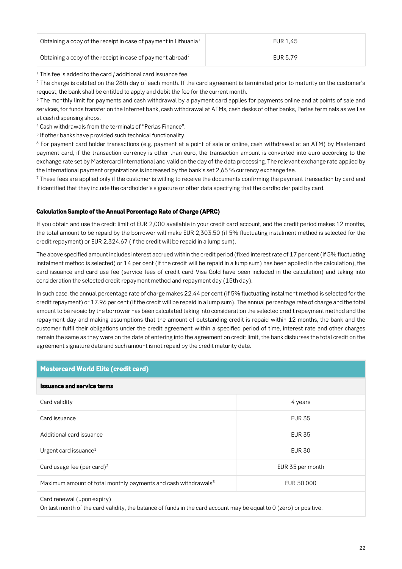| Obtaining a copy of the receipt in case of payment in Lithuania <sup>7</sup> | EUR 1.45 |
|------------------------------------------------------------------------------|----------|
| Obtaining a copy of the receipt in case of payment abroad <sup>7</sup>       | EUR 5.79 |

**<sup>1</sup> This fee is added to the card / additional card issuance fee.**

**<sup>2</sup> The charge is debited on the 28th day of each month. If the card agreement is terminated prior to maturity on the customer's request, the bank shall be entitled to apply and debit the fee for the current month.**

**<sup>3</sup> The monthly limit for payments and cash withdrawal by a payment card applies for payments online and at points of sale and services, for funds transfer on the Internet bank, cash withdrawal at ATMs, cash desks of other banks, Perlas terminals as well as at cash dispensing shops.**

**<sup>4</sup> Cash withdrawals from the terminals of "Perlas Finance".**

**5 If other banks have provided such technical functionality.**

**<sup>6</sup> For payment card holder transactions (e.g. payment at a point of sale or online, cash withdrawal at an ATM) by Mastercard payment card, if the transaction currency is other than euro, the transaction amount is converted into euro according to the exchange rate set by Mastercard International and valid on the day of the data processing. The relevant exchange rate applied by the international payment organizations is increased by the bank's set 2,65 % currency exchange fee.**

**<sup>7</sup> These fees are applied only if the customer is willing to receive the documents confirming the payment transaction by card and if identified that they include the cardholder's signature or other data specifying that the cardholder paid by card.**

#### *Calculation Sample of the Annual Percentage Rate of Charge (APRC)*

**If you obtain and use the credit limit of EUR 2,000 available in your credit card account, and the credit period makes 12 months, the total amount to be repaid by the borrower will make EUR 2,303.50 (if 5% fluctuating instalment method is selected for the credit repayment) or EUR 2,324.67 (if the credit will be repaid in a lump sum).** 

**The above specified amount includes interest accrued within the credit period (fixed interest rate of 17 per cent (if 5% fluctuating instalment method is selected) or 14 per cent (if the credit will be repaid in a lump sum) has been applied in the calculation), the card issuance and card use fee (service fees of credit card Visa Gold have been included in the calculation) and taking into consideration the selected credit repayment method and repayment day (15th day).** 

**In such case, the annual percentage rate of charge makes 22.44 per cent (if 5% fluctuating instalment method is selected for the credit repayment) or 17.96 per cent (if the credit will be repaid in a lump sum). The annual percentage rate of charge and the total amount to be repaid by the borrower has been calculated taking into consideration the selected credit repayment method and the repayment day and making assumptions that the amount of outstanding credit is repaid within 12 months, the bank and the customer fulfil their obligations under the credit agreement within a specified period of time, interest rate and other charges remain the same as they were on the date of entering into the agreement on credit limit, the bank disburses the total credit on the agreement signature date and such amount is not repaid by the credit maturity date.** 

| <b>Mastercard World Elite (credit card)</b>                                                                                                      |                  |  |
|--------------------------------------------------------------------------------------------------------------------------------------------------|------------------|--|
| <b>Issuance and service terms</b>                                                                                                                |                  |  |
| Card validity                                                                                                                                    | 4 years          |  |
| Card issuance                                                                                                                                    | <b>EUR 35</b>    |  |
| Additional card issuance                                                                                                                         | <b>EUR 35</b>    |  |
| Urgent card issuance <sup>1</sup>                                                                                                                | <b>EUR 30</b>    |  |
| Card usage fee (per card) <sup>2</sup>                                                                                                           | EUR 35 per month |  |
| Maximum amount of total monthly payments and cash withdrawals <sup>3</sup>                                                                       | EUR 50 000       |  |
| Card renewal (upon expiry)<br>On last month of the card validity, the balance of funds in the card account may be equal to 0 (zero) or positive. |                  |  |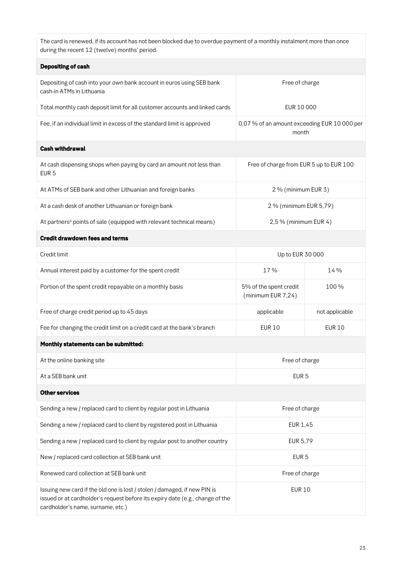**The card is renewed, if its account has not been blocked due to overdue payment of a monthly instalment more than once during the recent 12 (twelve) months' period.**

| <b>Depositing of cash</b>                                                                                                                                                                       |                                                       |                |  |
|-------------------------------------------------------------------------------------------------------------------------------------------------------------------------------------------------|-------------------------------------------------------|----------------|--|
| Depositing of cash into your own bank account in euros using SEB bank<br>cash-in ATMs in Lithuania                                                                                              | Free of charge                                        |                |  |
| Total monthly cash deposit limit for all customer accounts and linked cards                                                                                                                     | EUR 10 000                                            |                |  |
| Fee, if an individual limit in excess of the standard limit is approved                                                                                                                         | 0,07 % of an amount exceeding EUR 10 000 per<br>month |                |  |
| <b>Cash withdrawal</b>                                                                                                                                                                          |                                                       |                |  |
| At cash dispensing shops when paying by card an amount not less than<br>EUR <sub>5</sub>                                                                                                        | Free of charge from EUR 5 up to EUR 100               |                |  |
| At ATMs of SEB bank and other Lithuanian and foreign banks                                                                                                                                      | 2 % (minimum EUR 3)                                   |                |  |
| At a cash desk of another Lithuanian or foreign bank                                                                                                                                            | 2 % (minimum EUR 5,79)                                |                |  |
| At partners <sup>4</sup> points of sale (equipped with relevant technical means)                                                                                                                | 2,5 % (minimum EUR 4)                                 |                |  |
| <b>Credit drawdown fees and terms</b>                                                                                                                                                           |                                                       |                |  |
| Credit limit                                                                                                                                                                                    | Up to EUR 30 000                                      |                |  |
| Annual interest paid by a customer for the spent credit                                                                                                                                         | 17%                                                   | 14 %           |  |
| Portion of the spent credit repayable on a monthly basis                                                                                                                                        | 5% of the spent credit<br>(minimum EUR 7,24)          | 100%           |  |
| Free of charge credit period up to 45 days                                                                                                                                                      | applicable                                            | not applicable |  |
| Fee for changing the credit limit on a credit card at the bank's branch                                                                                                                         | <b>EUR 10</b>                                         | <b>EUR 10</b>  |  |
| Monthly statements can be submitted:                                                                                                                                                            |                                                       |                |  |
| At the online banking site                                                                                                                                                                      | Free of charge                                        |                |  |
| At a SEB bank unit                                                                                                                                                                              | EUR <sub>5</sub>                                      |                |  |
| <b>Other services</b>                                                                                                                                                                           |                                                       |                |  |
| Sending a new / replaced card to client by regular post in Lithuania                                                                                                                            | Free of charge                                        |                |  |
| Sending a new / replaced card to client by registered post in Lithuania                                                                                                                         | EUR 1,45                                              |                |  |
| Sending a new / replaced card to client by regular post to another country                                                                                                                      | EUR 5,79                                              |                |  |
| New / replaced card collection at SEB bank unit                                                                                                                                                 | EUR <sub>5</sub>                                      |                |  |
| Renewed card collection at SEB bank unit                                                                                                                                                        | Free of charge                                        |                |  |
| Issuing new card if the old one is lost / stolen / damaged, if new PIN is<br>issued or at cardholder's request before its expiry date (e.g., change of the<br>cardholder's name, surname, etc.) | <b>EUR 10</b>                                         |                |  |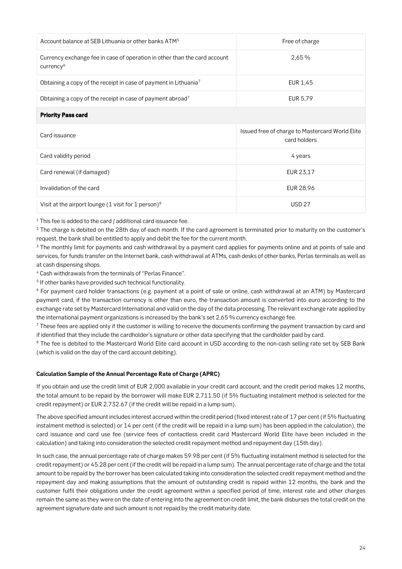| Account balance at SEB Lithuania or other banks ATM <sup>5</sup>                                   | Free of charge                                                  |  |
|----------------------------------------------------------------------------------------------------|-----------------------------------------------------------------|--|
| Currency exchange fee in case of operation in other than the card account<br>currency <sup>6</sup> | 2,65 %                                                          |  |
| Obtaining a copy of the receipt in case of payment in Lithuania <sup>7</sup>                       | EUR 1,45                                                        |  |
| Obtaining a copy of the receipt in case of payment abroad <sup>7</sup>                             | EUR 5,79                                                        |  |
| <b>Priority Pass card</b>                                                                          |                                                                 |  |
|                                                                                                    |                                                                 |  |
| Card issuance                                                                                      | Issued free of charge to Mastercard World Elite<br>card holders |  |
| Card validity period                                                                               | 4 years                                                         |  |
| Card renewal (if damaged)                                                                          | EUR 23,17                                                       |  |
| Invalidation of the card                                                                           | EUR 28,96                                                       |  |

**<sup>1</sup> This fee is added to the card / additional card issuance fee.**

**<sup>2</sup> The charge is debited on the 28th day of each month. If the card agreement is terminated prior to maturity on the customer's request, the bank shall be entitled to apply and debit the fee for the current month.**

**<sup>3</sup> The monthly limit for payments and cash withdrawal by a payment card applies for payments online and at points of sale and services, for funds transfer on the Internet bank, cash withdrawal at ATMs, cash desks of other banks, Perlas terminals as well as at cash dispensing shops.**

**<sup>4</sup> Cash withdrawals from the terminals of "Perlas Finance".**

**5 If other banks have provided such technical functionality.**

**<sup>6</sup> For payment card holder transactions (e.g. payment at a point of sale or online, cash withdrawal at an ATM) by Mastercard payment card, if the transaction currency is other than euro, the transaction amount is converted into euro according to the exchange rate set by Mastercard International and valid on the day of the data processing. The relevant exchange rate applied by the international payment organizations is increased by the bank's set 2,65 % currency exchange fee.**

**<sup>7</sup> These fees are applied only if the customer is willing to receive the documents confirming the payment transaction by card and if identified that they include the cardholder's signature or other data specifying that the cardholder paid by card.**

**<sup>8</sup> The fee is debited to the Mastercard World Elite card account in USD according to the non-cash selling rate set by SEB Bank (which is valid on the day of the card account debiting).**

#### *Calculation Sample of the Annual Percentage Rate of Charge (APRC)*

**If you obtain and use the credit limit of EUR 2,000 available in your credit card account, and the credit period makes 12 months, the total amount to be repaid by the borrower will make EUR 2,711.50 (if 5% fluctuating instalment method is selected for the credit repayment) or EUR 2,732.67 (if the credit will be repaid in a lump sum).** 

**The above specified amount includes interest accrued within the credit period (fixed interest rate of 17 per cent (if 5% fluctuating instalment method is selected) or 14 per cent (if the credit will be repaid in a lump sum) has been applied in the calculation), the card issuance and card use fee (service fees of contactless credit card Mastercard World Elite have been included in the calculation) and taking into consideration the selected credit repayment method and repayment day (15th day).** 

**In such case, the annual percentage rate of charge makes 59.98 per cent (if 5% fluctuating instalment method is selected for the credit repayment) or 45.28 per cent (if the credit will be repaid in a lump sum). The annual percentage rate of charge and the total amount to be repaid by the borrower has been calculated taking into consideration the selected credit repayment method and the repayment day and making assumptions that the amount of outstanding credit is repaid within 12 months, the bank and the customer fulfil their obligations under the credit agreement within a specified period of time, interest rate and other charges remain the same as they were on the date of entering into the agreement on credit limit, the bank disburses the total credit on the agreement signature date and such amount is not repaid by the credit maturity date.**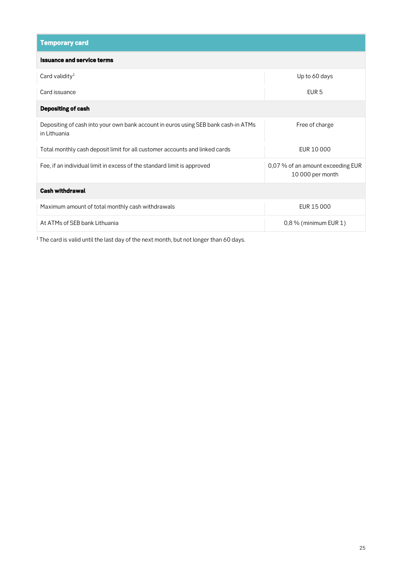| <b>Temporary card</b>                                                                              |                                                       |  |
|----------------------------------------------------------------------------------------------------|-------------------------------------------------------|--|
| <b>Issuance and service terms</b>                                                                  |                                                       |  |
| Card validity <sup>1</sup>                                                                         | Up to 60 days                                         |  |
| Card issuance                                                                                      | EUR <sub>5</sub>                                      |  |
| <b>Depositing of cash</b>                                                                          |                                                       |  |
| Depositing of cash into your own bank account in euros using SEB bank cash-in ATMs<br>in Lithuania | Free of charge                                        |  |
| Total monthly cash deposit limit for all customer accounts and linked cards                        | EUR 10 000                                            |  |
| Fee, if an individual limit in excess of the standard limit is approved                            | 0,07 % of an amount exceeding EUR<br>10 000 per month |  |
| <b>Cash withdrawal</b>                                                                             |                                                       |  |
| Maximum amount of total monthly cash withdrawals                                                   | EUR 15 000                                            |  |
| At ATMs of SEB bank Lithuania                                                                      | $0,8\%$ (minimum EUR 1)                               |  |

**1 The card is valid until the last day of the next month, but not longer than 60 days.**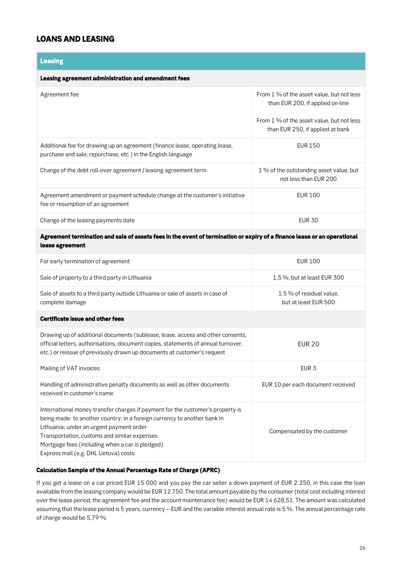### *LOANS AND LEASING*

### *Leasing*

#### *Leasing agreement administration and amendment fees*

| Agreement fee                                                                                                                               | From 1 % of the asset value, but not less<br>than EUR 200, if applied on-line |
|---------------------------------------------------------------------------------------------------------------------------------------------|-------------------------------------------------------------------------------|
|                                                                                                                                             | From 1 % of the asset value, but not less<br>than EUR 250, if applied at bank |
| Additional fee for drawing up an agreement (finance lease, operating lease,<br>purchase and sale, repurchase, etc.) in the English language | EUR 150                                                                       |
| Change of the debt roll-over agreement / leasing agreement term                                                                             | 1 % of the outstanding asset value, but<br>not less than EUR 200              |
| Agreement amendment or payment schedule change at the customer's initiative<br>fee or resumption of an agreement                            | EUR 100                                                                       |
| Change of the leasing payments date                                                                                                         | <b>EUR 30</b>                                                                 |

#### *Agreement termination and sale of assets fees in the event of termination or expiry of a finance lease or an operational lease agreement*

| For early termination of agreement                                                                                                                                                                                                                                                                                                                 | <b>EUR 100</b>                                   |
|----------------------------------------------------------------------------------------------------------------------------------------------------------------------------------------------------------------------------------------------------------------------------------------------------------------------------------------------------|--------------------------------------------------|
| Sale of property to a third party in Lithuania                                                                                                                                                                                                                                                                                                     | 1,5%, but at least EUR 300                       |
| Sale of assets to a third party outside Lithuania or sale of assets in case of<br>complete damage                                                                                                                                                                                                                                                  | 1.5 % of residual value.<br>but at least EUR 500 |
| <b>Certificate issue and other fees</b>                                                                                                                                                                                                                                                                                                            |                                                  |
| Drawing up of additional documents (sublease, lease, access and other consents,<br>official letters, authorisations, document copies, statements of annual turnover,<br>etc.) or reissue of previously drawn up documents at customer's request                                                                                                    | <b>EUR 20</b>                                    |
| Mailing of VAT invoices                                                                                                                                                                                                                                                                                                                            | EUR <sub>3</sub>                                 |
| Handling of administrative penalty documents as well as other documents<br>received in customer's name                                                                                                                                                                                                                                             | EUR 10 per each document received                |
| International money transfer charges if payment for the customer's property is<br>being made: to another country; in a foreign currency to another bank in<br>Lithuania; under an urgent payment order<br>Transportation, customs and similar expenses<br>Mortgage fees (including when a car is pledged)<br>Express mail (e.g. DHL Lietuva) costs | Compensated by the customer                      |

#### *Calculation Sample of the Annual Percentage Rate of Charge (APRC)*

**If you get a lease on a car priced EUR 15 000 and you pay the car seller a down payment of EUR 2 250, in this case the loan available from the leasing company would be EUR 12 750. The total amount payable by the consumer (total cost including interest over the lease period, the agreement fee and the account maintenance fee) would be EUR 14 628,51. The amount was calculated assuming that the lease period is 5 years, currency – EUR and the variable interest annual rate is 5 %. The annual percentage rate of charge would be 5,79 %.**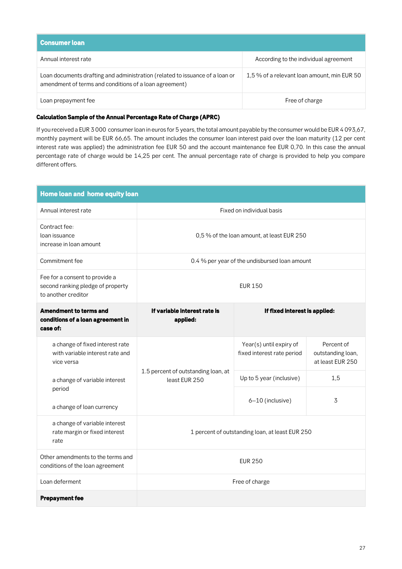| <b>Consumer loan</b>                                                                                                                   |                                            |
|----------------------------------------------------------------------------------------------------------------------------------------|--------------------------------------------|
| Annual interest rate                                                                                                                   | According to the individual agreement      |
| Loan documents drafting and administration (related to issuance of a loan or<br>amendment of terms and conditions of a loan agreement) | 1,5% of a relevant loan amount, min EUR 50 |
| Loan prepayment fee                                                                                                                    | Free of charge                             |

#### *Calculation Sample of the Annual Percentage Rate of Charge (APRC)*

**If you received a EUR 3 000 consumer loan in euros for 5 years, the total amount payable by the consumer would be EUR 4 093,67, monthly payment will be EUR 66,65. The amount includes the consumer loan interest paid over the loan maturity (12 per cent interest rate was applied) the administration fee EUR 50 and the account maintenance fee EUR 0,70. In this case the annual percentage rate of charge would be 14,25 per cent. The annual percentage rate of charge is provided to help you compare different offers.**

| Home loan and home equity loan                                                             |                                                      |                                                       |                                                     |
|--------------------------------------------------------------------------------------------|------------------------------------------------------|-------------------------------------------------------|-----------------------------------------------------|
| Annual interest rate                                                                       | Fixed on individual basis                            |                                                       |                                                     |
| Contract fee:<br>loan issuance<br>increase in loan amount                                  | 0,5 % of the loan amount, at least EUR 250           |                                                       |                                                     |
| Commitment fee                                                                             | 0.4 % per year of the undisbursed loan amount        |                                                       |                                                     |
| Fee for a consent to provide a<br>second ranking pledge of property<br>to another creditor | <b>EUR 150</b>                                       |                                                       |                                                     |
| <b>Amendment to terms and</b><br>conditions of a loan agreement in<br>case of:             | If variable interest rate is<br>applied:             | If fixed interest is applied:                         |                                                     |
| a change of fixed interest rate<br>with variable interest rate and<br>vice versa           |                                                      | Year(s) until expiry of<br>fixed interest rate period | Percent of<br>outstanding loan,<br>at least EUR 250 |
| a change of variable interest                                                              | 1.5 percent of outstanding loan, at<br>least EUR 250 | Up to 5 year (inclusive)                              | 1,5                                                 |
| period<br>a change of loan currency                                                        |                                                      | 6-10 (inclusive)                                      | 3                                                   |
| a change of variable interest<br>rate margin or fixed interest<br>rate                     | 1 percent of outstanding loan, at least EUR 250      |                                                       |                                                     |
| Other amendments to the terms and<br>conditions of the loan agreement                      | <b>EUR 250</b>                                       |                                                       |                                                     |
| Loan deferment                                                                             | Free of charge                                       |                                                       |                                                     |
| <b>Prepayment fee</b>                                                                      |                                                      |                                                       |                                                     |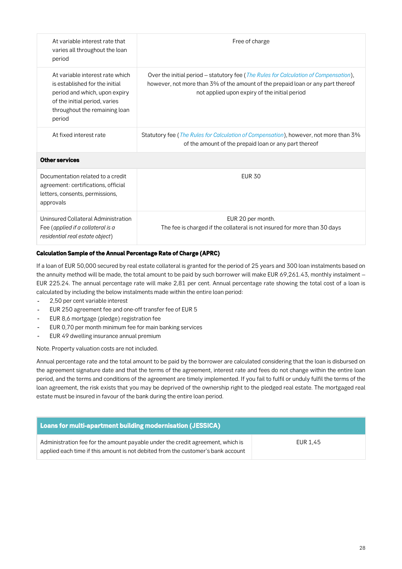| At variable interest rate that<br>varies all throughout the loan<br>period                                                                                                     | Free of charge                                                                                                                                                                                                                    |
|--------------------------------------------------------------------------------------------------------------------------------------------------------------------------------|-----------------------------------------------------------------------------------------------------------------------------------------------------------------------------------------------------------------------------------|
| At variable interest rate which<br>is established for the initial<br>period and which, upon expiry<br>of the initial period, varies<br>throughout the remaining loan<br>period | Over the initial period – statutory fee ( <i>The Rules for Calculation of Compensation</i> ),<br>however, not more than 3% of the amount of the prepaid loan or any part thereof<br>not applied upon expiry of the initial period |
| At fixed interest rate                                                                                                                                                         | Statutory fee ( <i>The Rules for Calculation of Compensation</i> ), however, not more than 3%<br>of the amount of the prepaid loan or any part thereof                                                                            |
| <b>Other services</b>                                                                                                                                                          |                                                                                                                                                                                                                                   |
| Documentation related to a credit<br>agreement: certifications, official<br>letters, consents, permissions,<br>approvals                                                       | <b>FUR 30</b>                                                                                                                                                                                                                     |
| Uninsured Collateral Administration<br>Fee (applied if a collateral is a<br>residential real estate object)                                                                    | EUR 20 per month.<br>The fee is charged if the collateral is not insured for more than 30 days                                                                                                                                    |

#### *Calculation Sample of the Annual Percentage Rate of Charge (APRC)*

**If a loan of EUR 50,000 secured by real estate collateral is granted for the period of 25 years and 300 loan instalments based on the annuity method will be made, the total amount to be paid by such borrower will make EUR 69,261.43, monthly instalment – EUR 225.24. The annual percentage rate will make 2,81 per cent. Annual percentage rate showing the total cost of a loan is calculated by including the below instalments made within the entire loan period:**

- **2,50 per cent variable interest**  $\overline{a}$
- **EUR 250 agreement fee and one-off transfer fee of EUR 5**
- **EUR 8,6 mortgage (pledge) registration fee**
- **EUR 0,70 per month minimum fee for main banking services**
- **EUR 49 dwelling insurance annual premium**

**Note. Property valuation costs are not included.**

**Annual percentage rate and the total amount to be paid by the borrower are calculated considering that the loan is disbursed on the agreement signature date and that the terms of the agreement, interest rate and fees do not change within the entire loan period, and the terms and conditions of the agreement are timely implemented. If you fail to fulfil or unduly fulfil the terms of the loan agreement, the risk exists that you may be deprived of the ownership right to the pledged real estate. The mortgaged real estate must be insured in favour of the bank during the entire loan period.**

| Loans for multi-apartment building modernisation (JESSICA)                                                                                                         |          |
|--------------------------------------------------------------------------------------------------------------------------------------------------------------------|----------|
| Administration fee for the amount payable under the credit agreement, which is<br>applied each time if this amount is not debited from the customer's bank account | EUR 1.45 |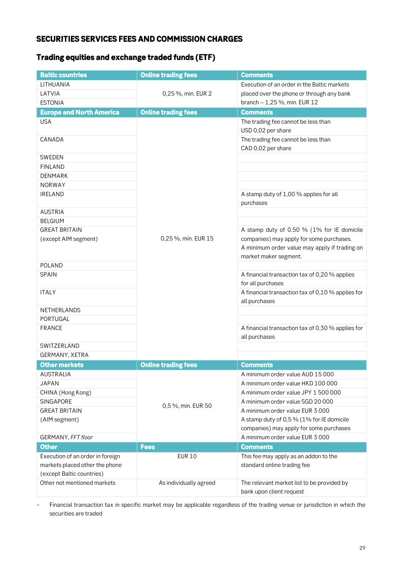### *SECURITIES SERVICES FEES AND COMMISSION CHARGES*

## *Trading equities and exchange traded funds (ETF)*

| <b>Baltic countries</b>          | <b>Online trading fees</b> | <b>Comments</b>                                                                                                    |
|----------------------------------|----------------------------|--------------------------------------------------------------------------------------------------------------------|
| LITHUANIA                        |                            | Execution of an order in the Baltic markets                                                                        |
| LATVIA                           | 0,25 %, min. EUR 2         | placed over the phone or through any bank                                                                          |
| <b>ESTONIA</b>                   |                            | branch - 1,25 %, min. EUR 12                                                                                       |
| <b>Europe and North America</b>  | <b>Online trading fees</b> | <b>Comments</b>                                                                                                    |
| <b>USA</b>                       |                            | The trading fee cannot be less than<br>USD 0,02 per share                                                          |
| CANADA                           |                            | The trading fee cannot be less than<br>CAD 0,02 per share                                                          |
| <b>SWEDEN</b>                    |                            |                                                                                                                    |
| <b>FINLAND</b>                   |                            |                                                                                                                    |
| <b>DENMARK</b>                   |                            |                                                                                                                    |
| <b>NORWAY</b>                    |                            |                                                                                                                    |
| <b>IRELAND</b>                   |                            | A stamp duty of 1,00 % applies for all<br>purchases                                                                |
| <b>AUSTRIA</b>                   |                            |                                                                                                                    |
| <b>BELGIUM</b>                   |                            |                                                                                                                    |
| <b>GREAT BRITAIN</b>             |                            | A stamp duty of 0.50 % (1% for IE domicile                                                                         |
| (except AIM segment)             | 0,25 %, min. EUR 15        | companies) may apply for some purchases.<br>A minimum order value may apply if trading on<br>market maker segment. |
| POLAND                           |                            |                                                                                                                    |
| <b>SPAIN</b>                     |                            | A financial transaction tax of 0,20 % applies<br>for all purchases                                                 |
| <b>ITALY</b>                     |                            | A financial transaction tax of 0,10 % applies for<br>all purchases                                                 |
| <b>NETHERLANDS</b>               |                            |                                                                                                                    |
| PORTUGAL                         |                            |                                                                                                                    |
| <b>FRANCE</b>                    |                            | A financial transaction tax of 0,30 % applies for<br>all purchases                                                 |
| SWITZERLAND                      |                            |                                                                                                                    |
| GERMANY, XETRA                   |                            |                                                                                                                    |
| <b>Other markets</b>             | <b>Online trading fees</b> | <b>Comments</b>                                                                                                    |
| <b>AUSTRALIA</b>                 |                            | A minimum order value AUD 15 000                                                                                   |
| <b>JAPAN</b>                     |                            | A minimum order value HKD 100 000                                                                                  |
| CHINA (Hong Kong)                |                            | A minimum order value JPY 1 500 000                                                                                |
| SINGAPORE                        | 0,5 %, min. EUR 50         | A minimum order value SGD 20 000                                                                                   |
| <b>GREAT BRITAIN</b>             |                            | A minimum order value EUR 3 000                                                                                    |
| (AIM segment)                    |                            | A stamp duty of 0,5 % (1% for IE domicile                                                                          |
|                                  |                            | companies) may apply for some purchases                                                                            |
| GERMANY, FFT floor               |                            | A minimum order value EUR 3 000                                                                                    |
| <b>Other</b>                     | <b>Fees</b>                | <b>Comments</b>                                                                                                    |
| Execution of an order in foreign | <b>EUR 10</b>              | This fee may apply as an addon to the                                                                              |
| markets placed other the phone   |                            | standard online trading fee                                                                                        |
| (except Baltic countries)        |                            |                                                                                                                    |
| Other not mentioned markets      | As individually agreed     | The relevant market list to be provided by<br>bank upon client request                                             |

**Financial transaction tax in specific market may be applicable regardless of the trading venue or jurisdiction in which the**   $\overline{a}$ **securities are traded**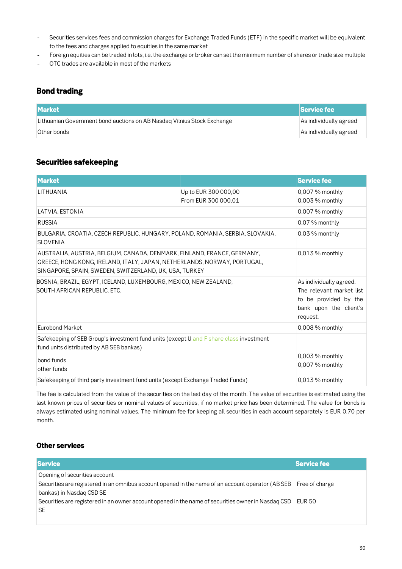- **Securities services fees and commission charges for Exchange Traded Funds (ETF) in the specific market will be equivalent**   $\overline{a}$ **to the fees and charges applied to equities in the same market**
- **Foreign equities can be traded in lots, i.e. the exchange or broker can set the minimum number of shares or trade size multiple**
- **OTC trades are available in most of the markets**

### *Bond trading*

| <b>Market</b>                                                           | <b>Service fee</b>     |
|-------------------------------------------------------------------------|------------------------|
| Lithuanian Government bond auctions on AB Nasdag Vilnius Stock Exchange | As individually agreed |
| Other bonds                                                             | As individually agreed |

### *Securities safekeeping*

| <b>Market</b>                                                                                                                                                                                                 |                                             | <b>Service fee</b>                                                                                                 |
|---------------------------------------------------------------------------------------------------------------------------------------------------------------------------------------------------------------|---------------------------------------------|--------------------------------------------------------------------------------------------------------------------|
| LITHUANIA                                                                                                                                                                                                     | Up to EUR 300 000,00<br>From EUR 300 000,01 | 0,007 % monthly<br>0,003 % monthly                                                                                 |
| LATVIA, ESTONIA                                                                                                                                                                                               |                                             | 0,007 % monthly                                                                                                    |
| <b>RUSSIA</b>                                                                                                                                                                                                 |                                             | 0,07 % monthly                                                                                                     |
| BULGARIA, CROATIA, CZECH REPUBLIC, HUNGARY, POLAND, ROMANIA, SERBIA, SLOVAKIA,<br><b>SLOVENIA</b>                                                                                                             |                                             | $0,03\%$ monthly                                                                                                   |
| AUSTRALIA, AUSTRIA, BELGIUM, CANADA, DENMARK, FINLAND, FRANCE, GERMANY,<br>GREECE, HONG KONG, IRELAND, ITALY, JAPAN, NETHERLANDS, NORWAY, PORTUGAL,<br>SINGAPORE, SPAIN, SWEDEN, SWITZERLAND, UK, USA, TURKEY |                                             | $0,013\%$ monthly                                                                                                  |
| BOSNIA, BRAZIL, EGYPT, ICELAND, LUXEMBOURG, MEXICO, NEW ZEALAND,<br>SOUTH AFRICAN REPUBLIC, ETC.                                                                                                              |                                             | As individually agreed.<br>The relevant market list<br>to be provided by the<br>bank upon the client's<br>request. |
| <b>Eurobond Market</b>                                                                                                                                                                                        |                                             | 0,008 % monthly                                                                                                    |
| Safekeeping of SEB Group's investment fund units (except U and F share class investment<br>fund units distributed by AB SEB bankas)<br>bond funds<br>other funds                                              |                                             | $0,003\%$ monthly<br>$0.007\%$ monthly                                                                             |
| Safekeeping of third party investment fund units (except Exchange Traded Funds)                                                                                                                               |                                             | $0,013\%$ monthly                                                                                                  |

**The fee is calculated from the value of the securities on the last day of the month. The value of securities is estimated using the last known prices of securities or nominal values of securities, if no market price has been determined. The value for bonds is always estimated using nominal values. The minimum fee for keeping all securities in each account separately is EUR 0,70 per month.**

#### *Other services*

| <b>Service</b>                                                                                     | <b>Service fee</b> |
|----------------------------------------------------------------------------------------------------|--------------------|
| Opening of securities account                                                                      |                    |
| Securities are registered in an omnibus account opened in the name of an account operator (AB SEB  | Free of charge     |
| bankas) in Nasdag CSD SE                                                                           |                    |
| Securities are registered in an owner account opened in the name of securities owner in Nasdag CSD | EUR 50             |
| <b>SE</b>                                                                                          |                    |
|                                                                                                    |                    |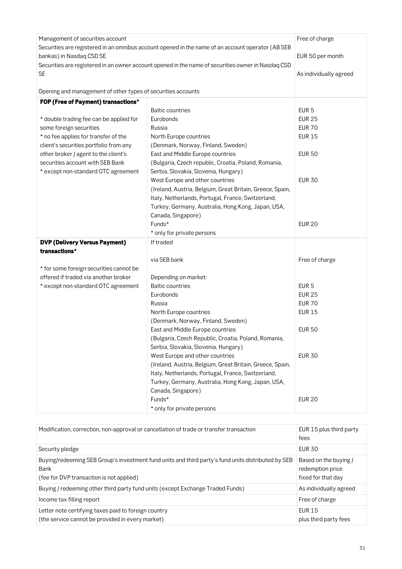| Management of securities account<br>Securities are registered in an omnibus account opened in the name of an account operator (AB SEB<br>bankas) in Nasdaq CSD SE<br>Securities are registered in an owner account opened in the name of securities owner in Nasdaq CSD<br><b>SE</b> |                                                                        | Free of charge<br>EUR 50 per month<br>As individually agreed |
|--------------------------------------------------------------------------------------------------------------------------------------------------------------------------------------------------------------------------------------------------------------------------------------|------------------------------------------------------------------------|--------------------------------------------------------------|
| Opening and management of other types of securities accounts                                                                                                                                                                                                                         |                                                                        |                                                              |
| FOP (Free of Payment) transactions*                                                                                                                                                                                                                                                  |                                                                        |                                                              |
|                                                                                                                                                                                                                                                                                      | <b>Baltic countries</b>                                                | EUR <sub>5</sub>                                             |
| * double trading fee can be applied for                                                                                                                                                                                                                                              | Eurobonds                                                              | <b>EUR 25</b>                                                |
| some foreign securities                                                                                                                                                                                                                                                              | Russia                                                                 | <b>EUR 70</b>                                                |
| * no fee applies for transfer of the                                                                                                                                                                                                                                                 | North Europe countries                                                 | <b>EUR 15</b>                                                |
| client's securities portfolio from any                                                                                                                                                                                                                                               | (Denmark, Norway, Finland, Sweden)                                     |                                                              |
| other broker / agent to the client's                                                                                                                                                                                                                                                 | East and Middle Europe countries                                       | <b>EUR 50</b>                                                |
| securities account with SEB Bank                                                                                                                                                                                                                                                     | (Bulgaria, Czech republic, Croatia, Poland, Romania,                   |                                                              |
| * except non-standard OTC agreement                                                                                                                                                                                                                                                  | Serbia, Slovakia, Slovenia, Hungary)                                   |                                                              |
|                                                                                                                                                                                                                                                                                      | West Europe and other countries                                        | <b>EUR 30</b>                                                |
|                                                                                                                                                                                                                                                                                      | (Ireland, Austria, Belgium, Great Britain, Greece, Spain,              |                                                              |
|                                                                                                                                                                                                                                                                                      | Italy, Netherlands, Portugal, France, Switzerland,                     |                                                              |
|                                                                                                                                                                                                                                                                                      | Turkey, Germany, Australia, Hong Kong, Japan, USA,                     |                                                              |
|                                                                                                                                                                                                                                                                                      | Canada, Singapore)                                                     |                                                              |
|                                                                                                                                                                                                                                                                                      | Funds*                                                                 | <b>EUR 20</b>                                                |
|                                                                                                                                                                                                                                                                                      | * only for private persons                                             |                                                              |
| <b>DVP (Delivery Versus Payment)</b>                                                                                                                                                                                                                                                 | If traded                                                              |                                                              |
| transactions*                                                                                                                                                                                                                                                                        |                                                                        |                                                              |
|                                                                                                                                                                                                                                                                                      | via SEB bank                                                           | Free of charge                                               |
| * for some foreign securities cannot be                                                                                                                                                                                                                                              |                                                                        |                                                              |
| offered if traded via another broker                                                                                                                                                                                                                                                 | Depending on market:                                                   |                                                              |
| * except non-standard OTC agreement                                                                                                                                                                                                                                                  | <b>Baltic countries</b>                                                | EUR <sub>5</sub>                                             |
|                                                                                                                                                                                                                                                                                      | Eurobonds                                                              | <b>EUR 25</b>                                                |
|                                                                                                                                                                                                                                                                                      | Russia                                                                 | <b>EUR 70</b>                                                |
|                                                                                                                                                                                                                                                                                      | North Europe countries                                                 | <b>EUR 15</b>                                                |
|                                                                                                                                                                                                                                                                                      | (Denmark, Norway, Finland, Sweden)<br>East and Middle Europe countries | <b>EUR 50</b>                                                |
|                                                                                                                                                                                                                                                                                      | (Bulgaria, Czech Republic, Croatia, Poland, Romania,                   |                                                              |
|                                                                                                                                                                                                                                                                                      | Serbia, Slovakia, Slovenia, Hungary)                                   |                                                              |
|                                                                                                                                                                                                                                                                                      | West Europe and other countries                                        | <b>EUR 30</b>                                                |
|                                                                                                                                                                                                                                                                                      | (Ireland, Austria, Belgium, Great Britain, Greece, Spain,              |                                                              |
|                                                                                                                                                                                                                                                                                      | Italy, Netherlands, Portugal, France, Switzerland,                     |                                                              |
|                                                                                                                                                                                                                                                                                      | Turkey, Germany, Australia, Hong Kong, Japan, USA,                     |                                                              |
|                                                                                                                                                                                                                                                                                      | Canada, Singapore)                                                     |                                                              |
|                                                                                                                                                                                                                                                                                      | Funds*                                                                 | <b>EUR 20</b>                                                |
|                                                                                                                                                                                                                                                                                      | * only for private persons                                             |                                                              |

| Modification, correction, non-approval or cancellation of trade or transfer transaction                                                                | EUR 15 plus third party<br>fees                                 |
|--------------------------------------------------------------------------------------------------------------------------------------------------------|-----------------------------------------------------------------|
| Security pledge                                                                                                                                        | <b>EUR 30</b>                                                   |
| Buying/redeeming SEB Group's investment fund units and third party's fund units distributed by SEB<br>Bank<br>(fee for DVP transaction is not applied) | Based on the buying /<br>redemption price<br>fixed for that day |
| Buying / redeeming other third party fund units (except Exchange Traded Funds)                                                                         | As individually agreed                                          |
| Income tax filling report                                                                                                                              | Free of charge                                                  |
| Letter note certifying taxes paid to foreign country<br>(the service cannot be provided in every market)                                               | <b>EUR 15</b><br>plus third party fees                          |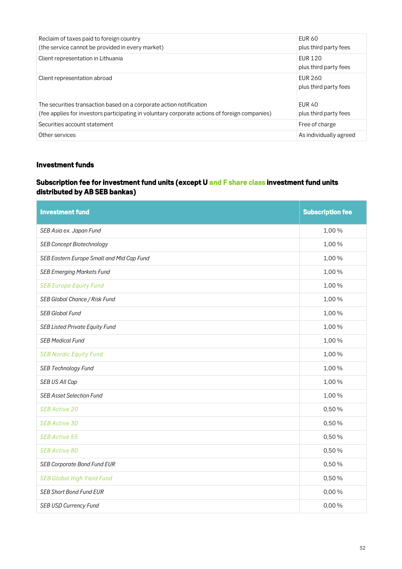| Reclaim of taxes paid to foreign country                                                      | <b>EUR 60</b>                           |
|-----------------------------------------------------------------------------------------------|-----------------------------------------|
| (the service cannot be provided in every market)                                              | plus third party fees                   |
| Client representation in Lithuania                                                            | <b>EUR 120</b><br>plus third party fees |
| Client representation abroad                                                                  | <b>FUR 260</b><br>plus third party fees |
| The securities transaction based on a corporate action notification                           | <b>FUR 40</b>                           |
| (fee applies for investors participating in voluntary corporate actions of foreign companies) | plus third party fees                   |
| Securities account statement                                                                  | Free of charge                          |
| Other services                                                                                | As individually agreed                  |

### *Investment funds*

### *Subscription fee for investment fund units (except U and F share class investment fund units distributed by AB SEB bankas)*

| <b>Investment fund</b>                    | <b>Subscription fee</b> |
|-------------------------------------------|-------------------------|
| SEB Asia ex. Japan Fund                   | 1,00%                   |
| <b>SEB Concept Biotechnology</b>          | 1,00%                   |
| SEB Eastern Europe Small and Mid Cap Fund | 1,00%                   |
| <b>SEB Emerging Markets Fund</b>          | 1,00%                   |
| <b>SEB Europe Equity Fund</b>             | 1,00%                   |
| SEB Global Chance / Risk Fund             | 1,00%                   |
| <b>SEB Global Fund</b>                    | 1,00%                   |
| <b>SEB Listed Private Equity Fund</b>     | 1,00%                   |
| <b>SEB Medical Fund</b>                   | 1,00%                   |
| <b>SEB Nordic Equity Fund</b>             | 1,00%                   |
| <b>SEB Technology Fund</b>                | 1,00%                   |
| SEB US All Cap                            | 1,00%                   |
| <b>SEB Asset Selection Fund</b>           | 1,00%                   |
| SEB Active 20                             | 0,50%                   |
| SEB Active 30                             | 0,50%                   |
| <b>SEB Active 55</b>                      | 0,50%                   |
| <b>SEB Active 80</b>                      | 0,50%                   |
| <b>SEB Corporate Bond Fund EUR</b>        | 0,50%                   |
| <b>SEB Global High Yield Fund</b>         | 0,50%                   |
| <b>SEB Short Bond Fund EUR</b>            | 0,00%                   |
| <b>SEB USD Currency Fund</b>              | 0,00%                   |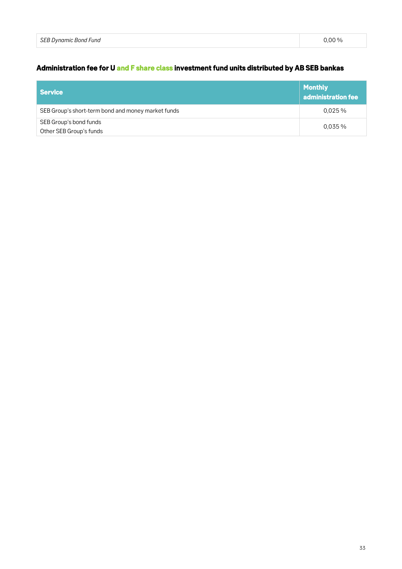# *Administration fee for U and F share class investment fund units distributed by AB SEB bankas*

| Service                                            | <b>Monthly</b><br>$\vert$ administration fee |
|----------------------------------------------------|----------------------------------------------|
| SEB Group's short-term bond and money market funds | 0.025%                                       |
| SEB Group's bond funds<br>Other SEB Group's funds  | $0.035\%$                                    |